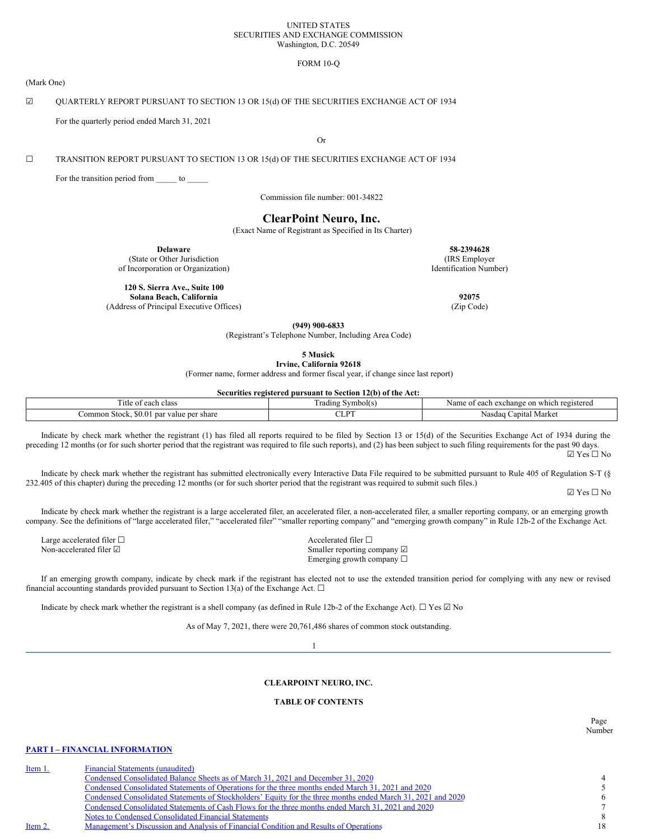### UNITED STATES SECURITIES AND EXCHANGE COMMISSION Washington, D.C. 20549

### FORM 10-Q

(Mark One)

## ☑ QUARTERLY REPORT PURSUANT TO SECTION 13 OR 15(d) OF THE SECURITIES EXCHANGE ACT OF 1934

For the quarterly period ended March 31, 2021

Or

☐ TRANSITION REPORT PURSUANT TO SECTION 13 OR 15(d) OF THE SECURITIES EXCHANGE ACT OF 1934

For the transition period from \_\_\_\_\_\_ to \_\_\_\_\_\_

Commission file number: 001-34822

## **ClearPoint Neuro, Inc.**

(Exact Name of Registrant as Specified in Its Charter)

**Delaware 58-2394628**

of Incorporation or Organization) **120 S. Sierra Ave., Suite 100**

**Solana Beach, California 92075** (Address of Principal Executive Offices) (Zip Code)

(State or Other Jurisdiction (IRS Employer (IRS Employer ) (IRS Employer ) (IRS Employer ) (IRS Employer ) (IRS Employer ) (IRS Employer ) (IRS Employer ) (IRS Employer ) (IRS Employer ) (IRS Employer ) (IRS Employer ) (IR

**(949) 900-6833**

(Registrant's Telephone Number, Including Area Code)

**5 Musick**

**Irvine, California 92618**

(Former name, former address and former fiscal year, if change since last report)

**Securities registered pursuant to Section 12(b) of the Act:**

| Fitle<br>class<br>each<br>,,,                       | Symbe<br>. I I c<br>rading<br>ons | ⊢which regi<br>ristered<br>Nam<br>aange<br><sub>on</sub><br>$\sim$ $\sim$ $\sim$ $\sim$<br>$\alpha$<br>-01<br>- CAUD?<br><b>CAUT</b> |
|-----------------------------------------------------|-----------------------------------|--------------------------------------------------------------------------------------------------------------------------------------|
| \$0.0<br>ommon<br>Stock.<br>value per share<br>: pa | $\alpha$ r n $\pi$<br>سە          | Market<br>`anıta<br>Nas<br>ам.                                                                                                       |

Indicate by check mark whether the registrant (1) has filed all reports required to be filed by Section 13 or 15(d) of the Securities Exchange Act of 1934 during the preceding 12 months (or for such shorter period that the registrant was required to file such reports), and (2) has been subject to such filing requirements for the past 90 days. ☑ Yes ☐ No

Indicate by check mark whether the registrant has submitted electronically every Interactive Data File required to be submitted pursuant to Rule 405 of Regulation S-T (§ 232.405 of this chapter) during the preceding 12 months (or for such shorter period that the registrant was required to submit such files.)

☑ Yes ☐ No

Indicate by check mark whether the registrant is a large accelerated filer, an accelerated filer, a non-accelerated filer, a smaller reporting company, or an emerging growth company. See the definitions of "large accelerated filer," "accelerated filer" "smaller reporting company" and "emerging growth company" in Rule 12b-2 of the Exchange Act.

Large accelerated filer □ and notice in the set of the set of the set of the set of the set of the set of the set of the set of the set of the set of the set of the set of the set of the set of the set of the set of the s

Non-accelerated filer ☑ Smaller reporting company ☑ Smaller reporting company ☑ Emerging growth company □

If an emerging growth company, indicate by check mark if the registrant has elected not to use the extended transition period for complying with any new or revised financial accounting standards provided pursuant to Section 13(a) of the Exchange Act.  $\Box$ 

Indicate by check mark whether the registrant is a shell company (as defined in Rule 12b-2 of the Exchange Act). ☐ Yes ☑ No

As of May 7, 2021, there were 20,761,486 shares of common stock outstanding.

1

## **CLEARPOINT NEURO, INC.**

## **TABLE OF CONTENTS**

Page Number

## **PART I – FINANCIAL [INFORMATION](#page-1-0)**

| Item 1.           | <b>Financial Statements (unaudited)</b>                                                                      |   |
|-------------------|--------------------------------------------------------------------------------------------------------------|---|
|                   | Condensed Consolidated Balance Sheets as of March 31, 2021 and December 31, 2020                             |   |
|                   | Condensed Consolidated Statements of Operations for the three months ended March 31, 2021 and 2020           |   |
|                   | Condensed Consolidated Statements of Stockholders' Equity for the three months ended March 31, 2021 and 2020 |   |
|                   | Condensed Consolidated Statements of Cash Flows for the three months ended March 31, 2021 and 2020           |   |
|                   | Notes to Condensed Consolidated Financial Statements                                                         | 8 |
| Item <sub>2</sub> | Management's Discussion and Analysis of Financial Condition and Results of Operations                        |   |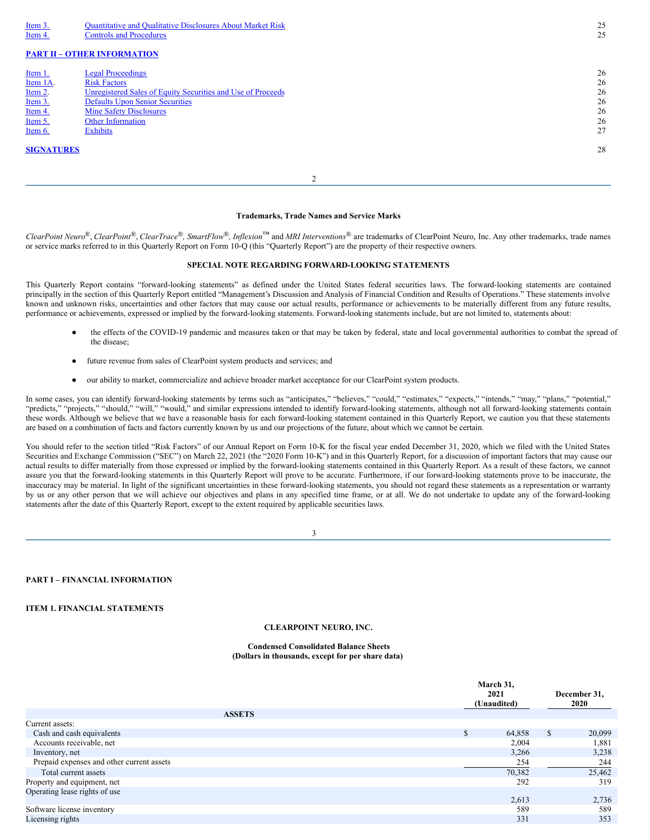## [Item](#page-14-0) 3. Cuantitative and Qualitative Disclosures About Market Risk 25 and 25 and 25 and 2012 15 and 25 and 25 and 25 and 25 and 25 and 25 and 25 and 25 and 26 and 26 and 26 and 26 and 26 and 26 and 26 and 26 and 26 and 26 **[Item](#page-14-1) 4.** Controls and [Procedures](#page-14-1) 25

## **PART II – OTHER [INFORMATION](#page-14-2)**

| Item 1.  | <b>Legal Proceedings</b>                                    | 26 |
|----------|-------------------------------------------------------------|----|
| Item 1A. | <b>Risk Factors</b>                                         | 26 |
| Item 2.  | Unregistered Sales of Equity Securities and Use of Proceeds | 26 |
| Item 3.  | <b>Defaults Upon Senior Securities</b>                      | 26 |
| Item 4.  | <b>Mine Safety Disclosures</b>                              | 26 |
| Item 5.  | <b>Other Information</b>                                    | 26 |
| Item 6.  | <b>Exhibits</b>                                             | 27 |
|          |                                                             |    |

### **[SIGNATURES](#page-15-4)** 28

 $\mathcal{L}$ 

### **Trademarks, Trade Names and Service Marks**

ClearPoint Neuro<sup>®</sup>, ClearPoint<sup>®</sup>, ClearTrace<sup>®</sup>, SmartFlow®, Inflexion™ and MRI Interventions® are trademarks of ClearPoint Neuro, Inc. Any other trademarks, trade names or service marks referred to in this Quarterly Report on Form 10-Q (this "Quarterly Report") are the property of their respective owners.

## **SPECIAL NOTE REGARDING FORWARD-LOOKING STATEMENTS**

This Quarterly Report contains "forward-looking statements" as defined under the United States federal securities laws. The forward-looking statements are contained principally in the section of this Quarterly Report entitled "Management's Discussion and Analysis of Financial Condition and Results of Operations." These statements involve known and unknown risks, uncertainties and other factors that may cause our actual results, performance or achievements to be materially different from any future results, performance or achievements, expressed or implied by the forward-looking statements. Forward-looking statements include, but are not limited to, statements about:

- the effects of the COVID-19 pandemic and measures taken or that may be taken by federal, state and local governmental authorities to combat the spread of the disease;
- future revenue from sales of ClearPoint system products and services; and
- our ability to market, commercialize and achieve broader market acceptance for our ClearPoint system products.

In some cases, you can identify forward-looking statements by terms such as "anticipates," "believes," "could," "estimates," "expects," "intends," "may," "plans," "potential," "predicts," "projects," "should," "will," "would," and similar expressions intended to identify forward-looking statements, although not all forward-looking statements contain these words. Although we believe that we have a reasonable basis for each forward-looking statement contained in this Quarterly Report, we caution you that these statements are based on a combination of facts and factors currently known by us and our projections of the future, about which we cannot be certain.

You should refer to the section titled "Risk Factors" of our Annual Report on Form 10-K for the fiscal year ended December 31, 2020, which we filed with the United States Securities and Exchange Commission ("SEC") on March 22, 2021 (the "2020 Form 10-K") and in this Quarterly Report, for a discussion of important factors that may cause our actual results to differ materially from those expressed or implied by the forward-looking statements contained in this Quarterly Report. As a result of these factors, we cannot assure you that the forward-looking statements in this Quarterly Report will prove to be accurate. Furthermore, if our forward-looking statements prove to be inaccurate, the inaccuracy may be material. In light of the significant uncertainties in these forward-looking statements, you should not regard these statements as a representation or warranty by us or any other person that we will achieve our objectives and plans in any specified time frame, or at all. We do not undertake to update any of the forward-looking statements after the date of this Quarterly Report, except to the extent required by applicable securities laws.

3

## <span id="page-1-0"></span>**PART I – FINANCIAL INFORMATION**

## <span id="page-1-2"></span><span id="page-1-1"></span>**ITEM 1. FINANCIAL STATEMENTS**

## **CLEARPOINT NEURO, INC.**

## **Condensed Consolidated Balance Sheets (Dollars in thousands, except for per share data)**

| March 31,<br>2021<br>(Unaudited) | December 31,<br>2020 |        |
|----------------------------------|----------------------|--------|
|                                  |                      |        |
|                                  |                      |        |
| \$<br>64,858                     | \$                   | 20,099 |
| 2,004                            |                      | 1,881  |
| 3.266                            |                      | 3,238  |
| 254                              |                      | 244    |
| 70,382                           |                      | 25,462 |
| 292                              |                      | 319    |
|                                  |                      |        |
| 2,613                            |                      | 2,736  |
| 589                              |                      | 589    |
| 331                              |                      | 353    |
|                                  |                      |        |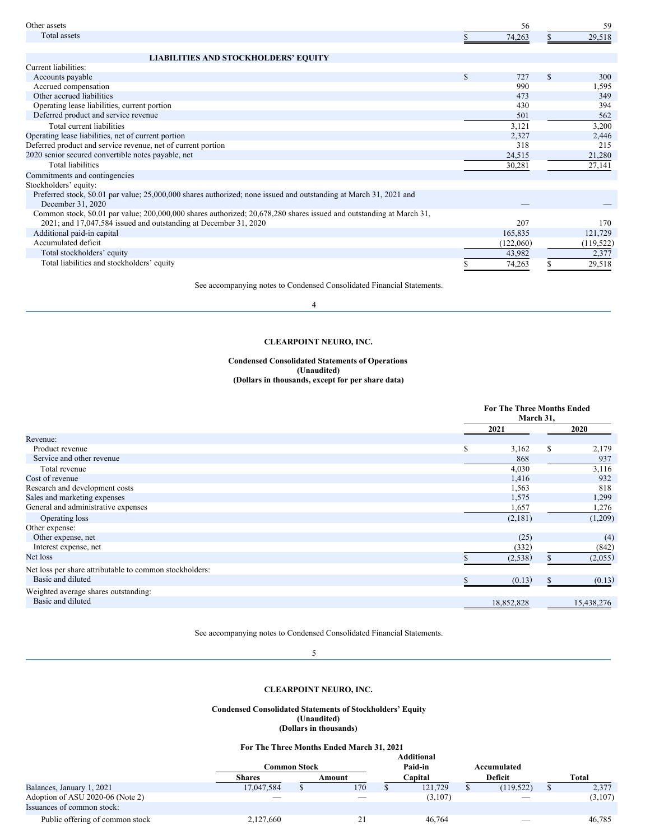| Other assets                                                                                                         | 56        |             | 59         |
|----------------------------------------------------------------------------------------------------------------------|-----------|-------------|------------|
| <b>Total assets</b>                                                                                                  | 74,263    | S           | 29,518     |
|                                                                                                                      |           |             |            |
| <b>LIABILITIES AND STOCKHOLDERS' EQUITY</b>                                                                          |           |             |            |
| Current liabilities:                                                                                                 |           |             |            |
| Accounts payable                                                                                                     | \$<br>727 | $\mathbf S$ | 300        |
| Accrued compensation                                                                                                 | 990       |             | 1,595      |
| Other accrued liabilities                                                                                            | 473       |             | 349        |
| Operating lease liabilities, current portion                                                                         | 430       |             | 394        |
| Deferred product and service revenue                                                                                 | 501       |             | 562        |
| Total current liabilities                                                                                            | 3,121     |             | 3,200      |
| Operating lease liabilities, net of current portion                                                                  | 2,327     |             | 2,446      |
| Deferred product and service revenue, net of current portion                                                         | 318       |             | 215        |
| 2020 senior secured convertible notes payable, net                                                                   | 24,515    |             | 21,280     |
| <b>Total liabilities</b>                                                                                             | 30,281    |             | 27,141     |
| Commitments and contingencies                                                                                        |           |             |            |
| Stockholders' equity:                                                                                                |           |             |            |
| Preferred stock, \$0.01 par value; 25,000,000 shares authorized; none issued and outstanding at March 31, 2021 and   |           |             |            |
| December 31, 2020                                                                                                    |           |             |            |
| Common stock, \$0.01 par value; 200,000,000 shares authorized; 20,678,280 shares issued and outstanding at March 31, |           |             |            |
| 2021; and 17,047,584 issued and outstanding at December 31, 2020                                                     | 207       |             | 170        |
| Additional paid-in capital                                                                                           | 165,835   |             | 121,729    |
| Accumulated deficit                                                                                                  | (122,060) |             | (119, 522) |
| Total stockholders' equity                                                                                           | 43,982    |             | 2,377      |
| Total liabilities and stockholders' equity                                                                           | 74,263    |             | 29,518     |

See accompanying notes to Condensed Consolidated Financial Statements.

4

## **CLEARPOINT NEURO, INC.**

## **Condensed Consolidated Statements of Operations (Unaudited) (Dollars in thousands, except for per share data)**

<span id="page-2-0"></span>

|                                                         |             | <b>For The Three Months Ended</b><br>March 31, |
|---------------------------------------------------------|-------------|------------------------------------------------|
|                                                         | 2021        | 2020                                           |
| Revenue:                                                |             |                                                |
| Product revenue                                         | \$<br>3,162 | \$<br>2,179                                    |
| Service and other revenue                               | 868         | 937                                            |
| Total revenue                                           | 4,030       | 3,116                                          |
| Cost of revenue                                         | 1,416       | 932                                            |
| Research and development costs                          | 1,563       | 818                                            |
| Sales and marketing expenses                            | 1,575       | 1,299                                          |
| General and administrative expenses                     | 1,657       | 1,276                                          |
| Operating loss                                          | (2,181)     | (1,209)                                        |
| Other expense:                                          |             |                                                |
| Other expense, net                                      | (25)        | (4)                                            |
| Interest expense, net                                   | (332)       | (842)                                          |
| Net loss                                                | (2, 538)    | (2,055)                                        |
| Net loss per share attributable to common stockholders: |             |                                                |
| Basic and diluted                                       | (0.13)      | (0.13)                                         |
| Weighted average shares outstanding:                    |             |                                                |
| Basic and diluted                                       | 18,852,828  | 15,438,276                                     |

See accompanying notes to Condensed Consolidated Financial Statements.

5

## **CLEARPOINT NEURO, INC.**

## **Condensed Consolidated Statements of Stockholders' Equity (Unaudited)**

# **(Dollars in thousands)**

## **For The Three Months Ended March 31, 2021**

<span id="page-2-1"></span>

|                                  |               |               |        |  | Additional |  |                          |              |  |  |
|----------------------------------|---------------|---------------|--------|--|------------|--|--------------------------|--------------|--|--|
|                                  |               | Common Stock- |        |  | Paid-in    |  | Accumulated              |              |  |  |
|                                  | <b>Shares</b> |               | Amount |  | Capital    |  | Deficit                  | <b>Total</b> |  |  |
| Balances, January 1, 2021        | 17.047.584    |               | 170    |  | 121.729    |  | (119, 522)               | 2,377        |  |  |
| Adoption of ASU 2020-06 (Note 2) |               |               |        |  | (3,107)    |  |                          | (3,107)      |  |  |
| Issuances of common stock:       |               |               |        |  |            |  |                          |              |  |  |
| Public offering of common stock  | 2,127,660     |               | 21     |  | 46.764     |  | $\overline{\phantom{a}}$ | 46,785       |  |  |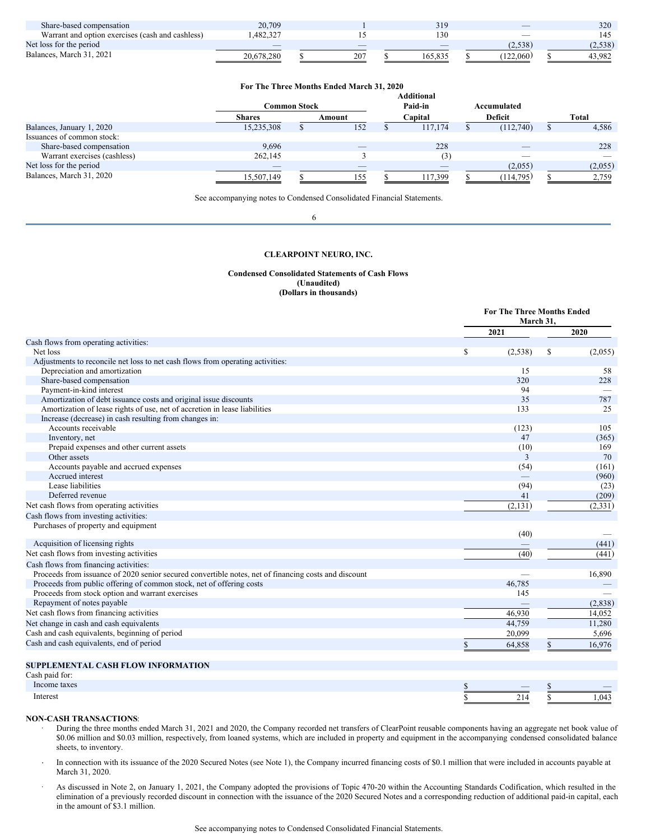| Share-based compensation                         | 20,709        |                          |                     | $-$                      | 320     |
|--------------------------------------------------|---------------|--------------------------|---------------------|--------------------------|---------|
| Warrant and option exercises (cash and cashless) | $.482.32^{-}$ |                          | 130                 | $\overline{\phantom{a}}$ | 145     |
| Net loss for the period                          | $-$           | $\overline{\phantom{a}}$ |                     | (2.538)                  | (2.538) |
| Balances, March 31, 2021                         | 20.678.280    | 207                      | 165.83 <sup>2</sup> | 122,060                  | 43.982  |

#### **For The Three Months Ended March 31, 2020 Additional**

|                              |               |        | Additional |             |            |              |
|------------------------------|---------------|--------|------------|-------------|------------|--------------|
|                              | Common Stock  |        | Paid-in    | Accumulated |            |              |
|                              | <b>Shares</b> | Amount | Capital    |             | Deficit    | <b>Total</b> |
| Balances, January 1, 2020    | 15,235,308    | 152    | 117.174    |             | (112,740)  | 4,586        |
| Issuances of common stock:   |               |        |            |             |            |              |
| Share-based compensation     | 9.696         |        | 228        |             |            | 228          |
| Warrant exercises (cashless) | 262,145       |        | (3)        |             |            |              |
| Net loss for the period      |               |        |            |             | (2,055)    | (2,055)      |
| Balances, March 31, 2020     | 15,507,149    | 155    | 117,399    |             | (114, 795) | 2,759        |

See accompanying notes to Condensed Consolidated Financial Statements.

6

### **CLEARPOINT NEURO, INC.**

## **Condensed Consolidated Statements of Cash Flows (Unaudited)**

**(Dollars in thousands)**

<span id="page-3-0"></span>

|                                                                                                      | <b>For The Three Months Ended</b><br>March 31, |          |    |          |
|------------------------------------------------------------------------------------------------------|------------------------------------------------|----------|----|----------|
|                                                                                                      |                                                | 2021     |    | 2020     |
| Cash flows from operating activities:                                                                |                                                |          |    |          |
| Net loss                                                                                             | \$                                             | (2, 538) | S  | (2,055)  |
| Adjustments to reconcile net loss to net cash flows from operating activities:                       |                                                |          |    |          |
| Depreciation and amortization                                                                        |                                                | 15       |    | 58       |
| Share-based compensation                                                                             |                                                | 320      |    | 228      |
| Payment-in-kind interest                                                                             |                                                | 94       |    |          |
| Amortization of debt issuance costs and original issue discounts                                     |                                                | 35       |    | 787      |
| Amortization of lease rights of use, net of accretion in lease liabilities                           |                                                | 133      |    | 25       |
| Increase (decrease) in cash resulting from changes in:                                               |                                                |          |    |          |
| Accounts receivable                                                                                  |                                                | (123)    |    | 105      |
| Inventory, net                                                                                       |                                                | 47       |    | (365)    |
| Prepaid expenses and other current assets                                                            |                                                | (10)     |    | 169      |
| Other assets                                                                                         |                                                | 3        |    | 70       |
| Accounts payable and accrued expenses                                                                |                                                | (54)     |    | (161)    |
| Accrued interest                                                                                     |                                                |          |    | (960)    |
| Lease liabilities                                                                                    |                                                | (94)     |    | (23)     |
| Deferred revenue                                                                                     |                                                | 41       |    | (209)    |
| Net cash flows from operating activities                                                             |                                                | (2, 131) |    | (2, 331) |
| Cash flows from investing activities:                                                                |                                                |          |    |          |
| Purchases of property and equipment                                                                  |                                                |          |    |          |
|                                                                                                      |                                                | (40)     |    |          |
| Acquisition of licensing rights                                                                      |                                                |          |    | (441)    |
| Net cash flows from investing activities                                                             |                                                | (40)     |    | (441)    |
| Cash flows from financing activities:                                                                |                                                |          |    |          |
| Proceeds from issuance of 2020 senior secured convertible notes, net of financing costs and discount |                                                | -        |    | 16,890   |
| Proceeds from public offering of common stock, net of offering costs                                 |                                                | 46,785   |    |          |
| Proceeds from stock option and warrant exercises                                                     |                                                | 145      |    |          |
| Repayment of notes payable                                                                           |                                                |          |    | (2,838)  |
| Net cash flows from financing activities                                                             |                                                | 46,930   |    | 14,052   |
| Net change in cash and cash equivalents                                                              |                                                | 44,759   |    | 11,280   |
| Cash and cash equivalents, beginning of period                                                       |                                                | 20,099   |    | 5,696    |
| Cash and cash equivalents, end of period                                                             |                                                | 64,858   | S  | 16,976   |
|                                                                                                      |                                                |          |    |          |
| SUPPLEMENTAL CASH FLOW INFORMATION                                                                   |                                                |          |    |          |
| Cash paid for:                                                                                       |                                                |          |    |          |
| Income taxes                                                                                         | \$                                             |          | \$ |          |

### Interest  $\frac{1}{8}$   $\frac{214}{8}$   $\frac{1}{8}$   $\frac{1043}{8}$

### **NON-CASH TRANSACTIONS**:

- · During the three months ended March 31, 2021 and 2020, the Company recorded net transfers of ClearPoint reusable components having an aggregate net book value of \$0.06 million and \$0.03 million, respectively, from loaned systems, which are included in property and equipment in the accompanying condensed consolidated balance sheets, to inventory.
- In connection with its issuance of the 2020 Secured Notes (see Note 1), the Company incurred financing costs of \$0.1 million that were included in accounts payable at March 31, 2020.
- As discussed in Note 2, on January 1, 2021, the Company adopted the provisions of Topic 470-20 within the Accounting Standards Codification, which resulted in the elimination of a previously recorded discount in connection with the issuance of the 2020 Secured Notes and a corresponding reduction of additional paid-in capital, each in the amount of \$3.1 million.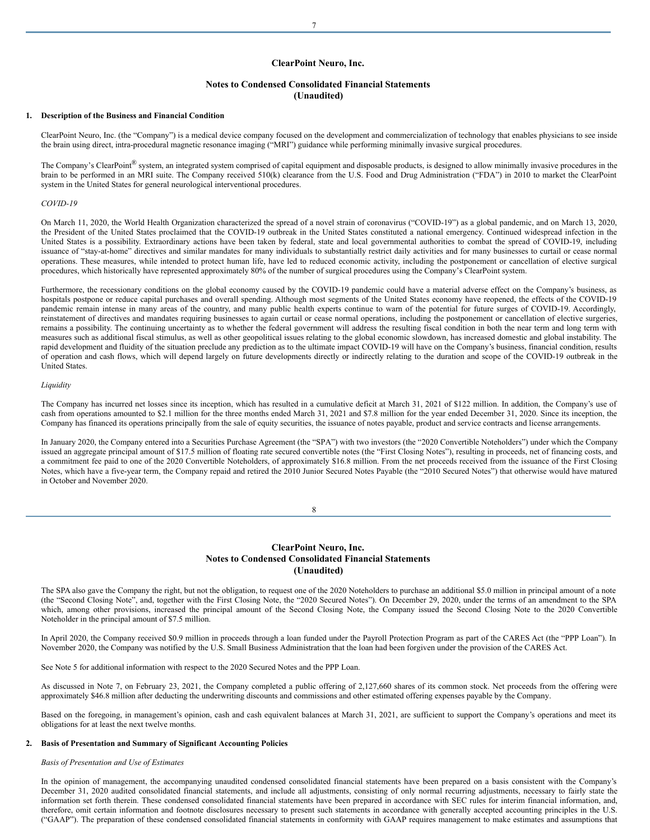## **ClearPoint Neuro, Inc.**

## **Notes to Condensed Consolidated Financial Statements (Unaudited)**

## <span id="page-4-0"></span>**1. Description of the Business and Financial Condition**

ClearPoint Neuro, Inc. (the "Company") is a medical device company focused on the development and commercialization of technology that enables physicians to see inside the brain using direct, intra-procedural magnetic resonance imaging ("MRI") guidance while performing minimally invasive surgical procedures.

The Company's ClearPoint<sup>®</sup> system, an integrated system comprised of capital equipment and disposable products, is designed to allow minimally invasive procedures in the brain to be performed in an MRI suite. The Company received 510(k) clearance from the U.S. Food and Drug Administration ("FDA") in 2010 to market the ClearPoint system in the United States for general neurological interventional procedures.

### *COVID-19*

On March 11, 2020, the World Health Organization characterized the spread of a novel strain of coronavirus ("COVID-19") as a global pandemic, and on March 13, 2020, the President of the United States proclaimed that the COVID-19 outbreak in the United States constituted a national emergency. Continued widespread infection in the United States is a possibility. Extraordinary actions have been taken by federal, state and local governmental authorities to combat the spread of COVID-19, including issuance of "stay-at-home" directives and similar mandates for many individuals to substantially restrict daily activities and for many businesses to curtail or cease normal operations. These measures, while intended to protect human life, have led to reduced economic activity, including the postponement or cancellation of elective surgical procedures, which historically have represented approximately 80% of the number of surgical procedures using the Company's ClearPoint system.

Furthermore, the recessionary conditions on the global economy caused by the COVID-19 pandemic could have a material adverse effect on the Company's business, as hospitals postpone or reduce capital purchases and overall spending. Although most segments of the United States economy have reopened, the effects of the COVID-19 pandemic remain intense in many areas of the country, and many public health experts continue to warn of the potential for future surges of COVID-19. Accordingly, reinstatement of directives and mandates requiring businesses to again curtail or cease normal operations, including the postponement or cancellation of elective surgeries, remains a possibility. The continuing uncertainty as to whether the federal government will address the resulting fiscal condition in both the near term and long term with measures such as additional fiscal stimulus, as well as other geopolitical issues relating to the global economic slowdown, has increased domestic and global instability. The rapid development and fluidity of the situation preclude any prediction as to the ultimate impact COVID-19 will have on the Company's business, financial condition, results of operation and cash flows, which will depend largely on future developments directly or indirectly relating to the duration and scope of the COVID-19 outbreak in the United States.

### *Liquidity*

The Company has incurred net losses since its inception, which has resulted in a cumulative deficit at March 31, 2021 of \$122 million. In addition, the Company's use of cash from operations amounted to \$2.1 million for the three months ended March 31, 2021 and \$7.8 million for the year ended December 31, 2020. Since its inception, the Company has financed its operations principally from the sale of equity securities, the issuance of notes payable, product and service contracts and license arrangements.

In January 2020, the Company entered into a Securities Purchase Agreement (the "SPA") with two investors (the "2020 Convertible Noteholders") under which the Company issued an aggregate principal amount of \$17.5 million of floating rate secured convertible notes (the "First Closing Notes"), resulting in proceeds, net of financing costs, and a commitment fee paid to one of the 2020 Convertible Noteholders, of approximately \$16.8 million. From the net proceeds received from the issuance of the First Closing Notes, which have a five-year term, the Company repaid and retired the 2010 Junior Secured Notes Payable (the "2010 Secured Notes") that otherwise would have matured in October and November 2020.

### 8

## **ClearPoint Neuro, Inc. Notes to Condensed Consolidated Financial Statements (Unaudited)**

The SPA also gave the Company the right, but not the obligation, to request one of the 2020 Noteholders to purchase an additional \$5.0 million in principal amount of a note (the "Second Closing Note", and, together with the First Closing Note, the "2020 Secured Notes"). On December 29, 2020, under the terms of an amendment to the SPA which, among other provisions, increased the principal amount of the Second Closing Note, the Company issued the Second Closing Note to the 2020 Convertible Noteholder in the principal amount of \$7.5 million.

In April 2020, the Company received \$0.9 million in proceeds through a loan funded under the Payroll Protection Program as part of the CARES Act (the "PPP Loan"). In November 2020, the Company was notified by the U.S. Small Business Administration that the loan had been forgiven under the provision of the CARES Act.

See Note 5 for additional information with respect to the 2020 Secured Notes and the PPP Loan.

As discussed in Note 7, on February 23, 2021, the Company completed a public offering of 2,127,660 shares of its common stock. Net proceeds from the offering were approximately \$46.8 million after deducting the underwriting discounts and commissions and other estimated offering expenses payable by the Company.

Based on the foregoing, in management's opinion, cash and cash equivalent balances at March 31, 2021, are sufficient to support the Company's operations and meet its obligations for at least the next twelve months.

## **2. Basis of Presentation and Summary of Significant Accounting Policies**

## *Basis of Presentation and Use of Estimates*

In the opinion of management, the accompanying unaudited condensed consolidated financial statements have been prepared on a basis consistent with the Company's December 31, 2020 audited consolidated financial statements, and include all adjustments, consisting of only normal recurring adjustments, necessary to fairly state the information set forth therein. These condensed consolidated financial statements have been prepared in accordance with SEC rules for interim financial information, and, therefore, omit certain information and footnote disclosures necessary to present such statements in accordance with generally accepted accounting principles in the U.S. ("GAAP"). The preparation of these condensed consolidated financial statements in conformity with GAAP requires management to make estimates and assumptions that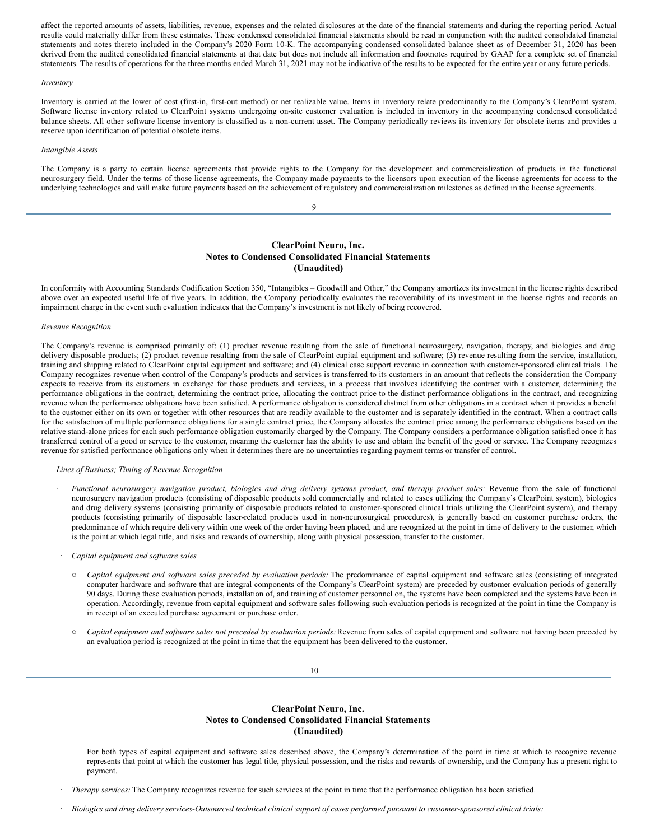affect the reported amounts of assets, liabilities, revenue, expenses and the related disclosures at the date of the financial statements and during the reporting period. Actual results could materially differ from these estimates. These condensed consolidated financial statements should be read in conjunction with the audited consolidated financial statements and notes thereto included in the Company's 2020 Form 10-K. The accompanying condensed consolidated balance sheet as of December 31, 2020 has been derived from the audited consolidated financial statements at that date but does not include all information and footnotes required by GAAP for a complete set of financial statements. The results of operations for the three months ended March 31, 2021 may not be indicative of the results to be expected for the entire year or any future periods.

#### *Inventory*

Inventory is carried at the lower of cost (first-in, first-out method) or net realizable value. Items in inventory relate predominantly to the Company's ClearPoint system. Software license inventory related to ClearPoint systems undergoing on-site customer evaluation is included in inventory in the accompanying condensed consolidated balance sheets. All other software license inventory is classified as a non-current asset. The Company periodically reviews its inventory for obsolete items and provides a reserve upon identification of potential obsolete items.

#### *Intangible Assets*

The Company is a party to certain license agreements that provide rights to the Company for the development and commercialization of products in the functional neurosurgery field. Under the terms of those license agreements, the Company made payments to the licensors upon execution of the license agreements for access to the underlying technologies and will make future payments based on the achievement of regulatory and commercialization milestones as defined in the license agreements.

#### 9

## **ClearPoint Neuro, Inc. Notes to Condensed Consolidated Financial Statements (Unaudited)**

In conformity with Accounting Standards Codification Section 350, "Intangibles – Goodwill and Other," the Company amortizes its investment in the license rights described above over an expected useful life of five years. In addition, the Company periodically evaluates the recoverability of its investment in the license rights and records an impairment charge in the event such evaluation indicates that the Company's investment is not likely of being recovered.

#### *Revenue Recognition*

The Company's revenue is comprised primarily of: (1) product revenue resulting from the sale of functional neurosurgery, navigation, therapy, and biologics and drug delivery disposable products; (2) product revenue resulting from the sale of ClearPoint capital equipment and software; (3) revenue resulting from the service, installation, training and shipping related to ClearPoint capital equipment and software; and (4) clinical case support revenue in connection with customer-sponsored clinical trials. The Company recognizes revenue when control of the Company's products and services is transferred to its customers in an amount that reflects the consideration the Company expects to receive from its customers in exchange for those products and services, in a process that involves identifying the contract with a customer, determining the performance obligations in the contract, determining the contract price, allocating the contract price to the distinct performance obligations in the contract, and recognizing revenue when the performance obligations have been satisfied. A performance obligation is considered distinct from other obligations in a contract when it provides a benefit to the customer either on its own or together with other resources that are readily available to the customer and is separately identified in the contract. When a contract calls for the satisfaction of multiple performance obligations for a single contract price, the Company allocates the contract price among the performance obligations based on the relative stand-alone prices for each such performance obligation customarily charged by the Company. The Company considers a performance obligation satisfied once it has transferred control of a good or service to the customer, meaning the customer has the ability to use and obtain the benefit of the good or service. The Company recognizes revenue for satisfied performance obligations only when it determines there are no uncertainties regarding payment terms or transfer of control.

#### *Lines of Business; Timing of Revenue Recognition*

Functional neurosurgery navigation product, biologics and drug delivery systems product, and therapy product sales: Revenue from the sale of functional neurosurgery navigation products (consisting of disposable products sold commercially and related to cases utilizing the Company's ClearPoint system), biologics and drug delivery systems (consisting primarily of disposable products related to customer-sponsored clinical trials utilizing the ClearPoint system), and therapy products (consisting primarily of disposable laser-related products used in non-neurosurgical procedures), is generally based on customer purchase orders, the predominance of which require delivery within one week of the order having been placed, and are recognized at the point in time of delivery to the customer, which is the point at which legal title, and risks and rewards of ownership, along with physical possession, transfer to the customer.

· *Capital equipment and software sales*

- o *Capital equipment and software sales preceded by evaluation periods:* The predominance of capital equipment and software sales (consisting of integrated computer hardware and software that are integral components of the Company's ClearPoint system) are preceded by customer evaluation periods of generally 90 days. During these evaluation periods, installation of, and training of customer personnel on, the systems have been completed and the systems have been in operation. Accordingly, revenue from capital equipment and software sales following such evaluation periods is recognized at the point in time the Company is in receipt of an executed purchase agreement or purchase order.
- o *Capital equipment and software sales not preceded by evaluation periods:*Revenue from sales of capital equipment and software not having been preceded by an evaluation period is recognized at the point in time that the equipment has been delivered to the customer.

#### 10

## **ClearPoint Neuro, Inc. Notes to Condensed Consolidated Financial Statements (Unaudited)**

For both types of capital equipment and software sales described above, the Company's determination of the point in time at which to recognize revenue represents that point at which the customer has legal title, physical possession, and the risks and rewards of ownership, and the Company has a present right to payment.

· *Therapy services:* The Company recognizes revenue for such services at the point in time that the performance obligation has been satisfied.

Biologics and drug delivery services-Outsourced technical clinical support of cases performed pursuant to customer-sponsored clinical trials: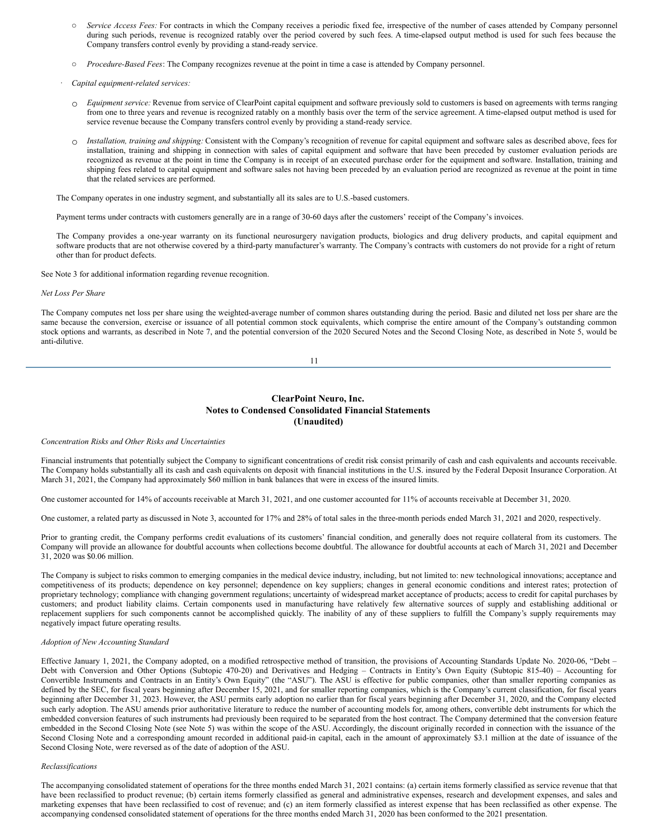- o *Service Access Fees:* For contracts in which the Company receives a periodic fixed fee, irrespective of the number of cases attended by Company personnel during such periods, revenue is recognized ratably over the period covered by such fees. A time-elapsed output method is used for such fees because the Company transfers control evenly by providing a stand-ready service.
- o *Procedure-Based Fees*: The Company recognizes revenue at the point in time a case is attended by Company personnel.
- · *Capital equipment-related services:*
	- $O$  *Equipment service:* Revenue from service of ClearPoint capital equipment and software previously sold to customers is based on agreements with terms ranging from one to three years and revenue is recognized ratably on a monthly basis over the term of the service agreement. A time-elapsed output method is used for service revenue because the Company transfers control evenly by providing a stand-ready service.
	- o *Installation, training and shipping:* Consistent with the Company's recognition of revenue for capital equipment and software sales as described above, fees for installation, training and shipping in connection with sales of capital equipment and software that have been preceded by customer evaluation periods are recognized as revenue at the point in time the Company is in receipt of an executed purchase order for the equipment and software. Installation, training and shipping fees related to capital equipment and software sales not having been preceded by an evaluation period are recognized as revenue at the point in time that the related services are performed.

The Company operates in one industry segment, and substantially all its sales are to U.S.-based customers.

Payment terms under contracts with customers generally are in a range of 30-60 days after the customers' receipt of the Company's invoices.

The Company provides a one-year warranty on its functional neurosurgery navigation products, biologics and drug delivery products, and capital equipment and software products that are not otherwise covered by a third-party manufacturer's warranty. The Company's contracts with customers do not provide for a right of return other than for product defects.

See Note 3 for additional information regarding revenue recognition.

#### *Net Loss Per Share*

The Company computes net loss per share using the weighted-average number of common shares outstanding during the period. Basic and diluted net loss per share are the same because the conversion, exercise or issuance of all potential common stock equivalents, which comprise the entire amount of the Company's outstanding common stock options and warrants, as described in Note 7, and the potential conversion of the 2020 Secured Notes and the Second Closing Note, as described in Note 5, would be anti-dilutive.

### 11

## **ClearPoint Neuro, Inc. Notes to Condensed Consolidated Financial Statements (Unaudited)**

### *Concentration Risks and Other Risks and Uncertainties*

Financial instruments that potentially subject the Company to significant concentrations of credit risk consist primarily of cash and cash equivalents and accounts receivable. The Company holds substantially all its cash and cash equivalents on deposit with financial institutions in the U.S. insured by the Federal Deposit Insurance Corporation. At March 31, 2021, the Company had approximately \$60 million in bank balances that were in excess of the insured limits.

One customer accounted for 14% of accounts receivable at March 31, 2021, and one customer accounted for 11% of accounts receivable at December 31, 2020.

One customer, a related party as discussed in Note 3, accounted for 17% and 28% of total sales in the three-month periods ended March 31, 2021 and 2020, respectively.

Prior to granting credit, the Company performs credit evaluations of its customers' financial condition, and generally does not require collateral from its customers. The Company will provide an allowance for doubtful accounts when collections become doubtful. The allowance for doubtful accounts at each of March 31, 2021 and December 31, 2020 was \$0.06 million.

The Company is subject to risks common to emerging companies in the medical device industry, including, but not limited to: new technological innovations; acceptance and competitiveness of its products; dependence on key personnel; dependence on key suppliers; changes in general economic conditions and interest rates; protection of proprietary technology; compliance with changing government regulations; uncertainty of widespread market acceptance of products; access to credit for capital purchases by customers; and product liability claims. Certain components used in manufacturing have relatively few alternative sources of supply and establishing additional or replacement suppliers for such components cannot be accomplished quickly. The inability of any of these suppliers to fulfill the Company's supply requirements may negatively impact future operating results.

### *Adoption of New Accounting Standard*

Effective January 1, 2021, the Company adopted, on a modified retrospective method of transition, the provisions of Accounting Standards Update No. 2020-06, "Debt – Debt with Conversion and Other Options (Subtopic 470-20) and Derivatives and Hedging – Contracts in Entity's Own Equity (Subtopic 815-40) – Accounting for Convertible Instruments and Contracts in an Entity's Own Equity" (the "ASU"). The ASU is effective for public companies, other than smaller reporting companies as defined by the SEC, for fiscal years beginning after December 15, 2021, and for smaller reporting companies, which is the Company's current classification, for fiscal years beginning after December 31, 2023. However, the ASU permits early adoption no earlier than for fiscal years beginning after December 31, 2020, and the Company elected such early adoption. The ASU amends prior authoritative literature to reduce the number of accounting models for, among others, convertible debt instruments for which the embedded conversion features of such instruments had previously been required to be separated from the host contract. The Company determined that the conversion feature embedded in the Second Closing Note (see Note 5) was within the scope of the ASU. Accordingly, the discount originally recorded in connection with the issuance of the Second Closing Note and a corresponding amount recorded in additional paid-in capital, each in the amount of approximately \$3.1 million at the date of issuance of the Second Closing Note, were reversed as of the date of adoption of the ASU.

### *Reclassifications*

The accompanying consolidated statement of operations for the three months ended March 31, 2021 contains: (a) certain items formerly classified as service revenue that that have been reclassified to product revenue; (b) certain items formerly classified as general and administrative expenses, research and development expenses, and sales and marketing expenses that have been reclassified to cost of revenue; and (c) an item formerly classified as interest expense that has been reclassified as other expense. The accompanying condensed consolidated statement of operations for the three months ended March 31, 2020 has been conformed to the 2021 presentation.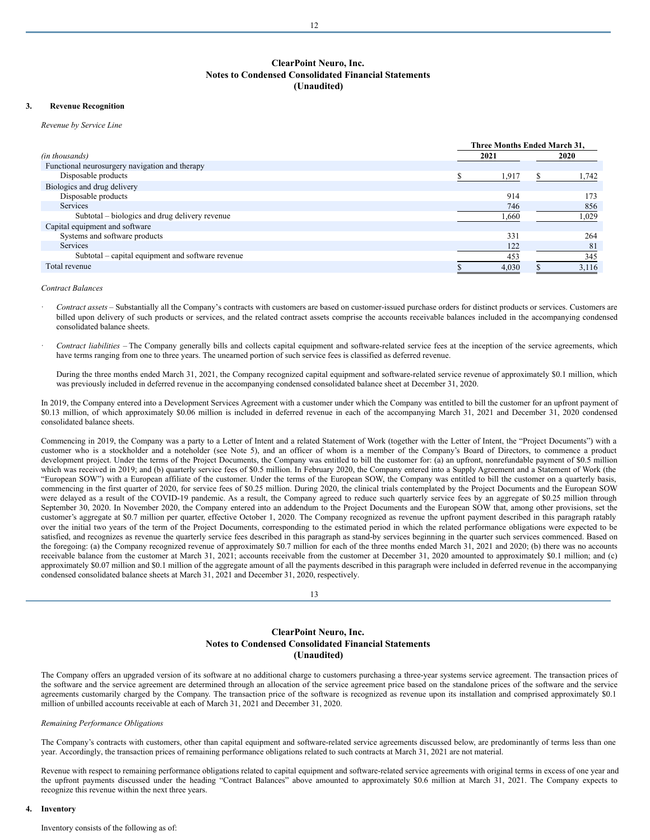## **ClearPoint Neuro, Inc. Notes to Condensed Consolidated Financial Statements (Unaudited)**

### **3. Revenue Recognition**

*Revenue by Service Line*

|                                                   |       | Three Months Ended March 31, |  |  |  |  |  |
|---------------------------------------------------|-------|------------------------------|--|--|--|--|--|
| (in thousands)                                    | 2021  | 2020                         |  |  |  |  |  |
| Functional neurosurgery navigation and therapy    |       |                              |  |  |  |  |  |
| Disposable products                               | 1,917 | 1,742                        |  |  |  |  |  |
| Biologics and drug delivery                       |       |                              |  |  |  |  |  |
| Disposable products                               | 914   | 173                          |  |  |  |  |  |
| <b>Services</b>                                   | 746   | 856                          |  |  |  |  |  |
| Subtotal – biologics and drug delivery revenue    | 1,660 | 1,029                        |  |  |  |  |  |
| Capital equipment and software                    |       |                              |  |  |  |  |  |
| Systems and software products                     | 331   | 264                          |  |  |  |  |  |
| Services                                          | 122   | 81                           |  |  |  |  |  |
| Subtotal – capital equipment and software revenue | 453   | 345                          |  |  |  |  |  |
| Total revenue                                     | 4,030 | 3,116                        |  |  |  |  |  |

### *Contract Balances*

- · *Contract assets* Substantially all the Company's contracts with customers are based on customer-issued purchase orders for distinct products or services. Customers are billed upon delivery of such products or services, and the related contract assets comprise the accounts receivable balances included in the accompanying condensed consolidated balance sheets.
- Contract liabilities The Company generally bills and collects capital equipment and software-related service fees at the inception of the service agreements, which have terms ranging from one to three years. The unearned portion of such service fees is classified as deferred revenue.
	- During the three months ended March 31, 2021, the Company recognized capital equipment and software-related service revenue of approximately \$0.1 million, which was previously included in deferred revenue in the accompanying condensed consolidated balance sheet at December 31, 2020.

In 2019, the Company entered into a Development Services Agreement with a customer under which the Company was entitled to bill the customer for an upfront payment of \$0.13 million, of which approximately \$0.06 million is included in deferred revenue in each of the accompanying March 31, 2021 and December 31, 2020 condensed consolidated balance sheets.

Commencing in 2019, the Company was a party to a Letter of Intent and a related Statement of Work (together with the Letter of Intent, the "Project Documents") with a customer who is a stockholder and a noteholder (see Note 5), and an officer of whom is a member of the Company's Board of Directors, to commence a product development project. Under the terms of the Project Documents, the Company was entitled to bill the customer for: (a) an upfront, nonrefundable payment of \$0.5 million which was received in 2019; and (b) quarterly service fees of \$0.5 million. In February 2020, the Company entered into a Supply Agreement and a Statement of Work (the "European SOW") with a European affiliate of the customer. Under the terms of the European SOW, the Company was entitled to bill the customer on a quarterly basis, commencing in the first quarter of 2020, for service fees of \$0.25 million. During 2020, the clinical trials contemplated by the Project Documents and the European SOW were delayed as a result of the COVID-19 pandemic. As a result, the Company agreed to reduce such quarterly service fees by an aggregate of \$0.25 million through September 30, 2020. In November 2020, the Company entered into an addendum to the Project Documents and the European SOW that, among other provisions, set the customer's aggregate at \$0.7 million per quarter, effective October 1, 2020. The Company recognized as revenue the upfront payment described in this paragraph ratably over the initial two years of the term of the Project Documents, corresponding to the estimated period in which the related performance obligations were expected to be satisfied, and recognizes as revenue the quarterly service fees described in this paragraph as stand-by services beginning in the quarter such services commenced. Based on the foregoing: (a) the Company recognized revenue of approximately \$0.7 million for each of the three months ended March 31, 2021 and 2020; (b) there was no accounts receivable balance from the customer at March 31, 2021; accounts receivable from the customer at December 31, 2020 amounted to approximately \$0.1 million; and (c) approximately \$0.07 million and \$0.1 million of the aggregate amount of all the payments described in this paragraph were included in deferred revenue in the accompanying condensed consolidated balance sheets at March 31, 2021 and December 31, 2020, respectively.

13

## **ClearPoint Neuro, Inc. Notes to Condensed Consolidated Financial Statements (Unaudited)**

The Company offers an upgraded version of its software at no additional charge to customers purchasing a three-year systems service agreement. The transaction prices of the software and the service agreement are determined through an allocation of the service agreement price based on the standalone prices of the software and the service agreements customarily charged by the Company. The transaction price of the software is recognized as revenue upon its installation and comprised approximately \$0.1 million of unbilled accounts receivable at each of March 31, 2021 and December 31, 2020.

## *Remaining Performance Obligations*

The Company's contracts with customers, other than capital equipment and software-related service agreements discussed below, are predominantly of terms less than one year. Accordingly, the transaction prices of remaining performance obligations related to such contracts at March 31, 2021 are not material.

Revenue with respect to remaining performance obligations related to capital equipment and software-related service agreements with original terms in excess of one year and the upfront payments discussed under the heading "Contract Balances" above amounted to approximately \$0.6 million at March 31, 2021. The Company expects to recognize this revenue within the next three years.

### **4. Inventory**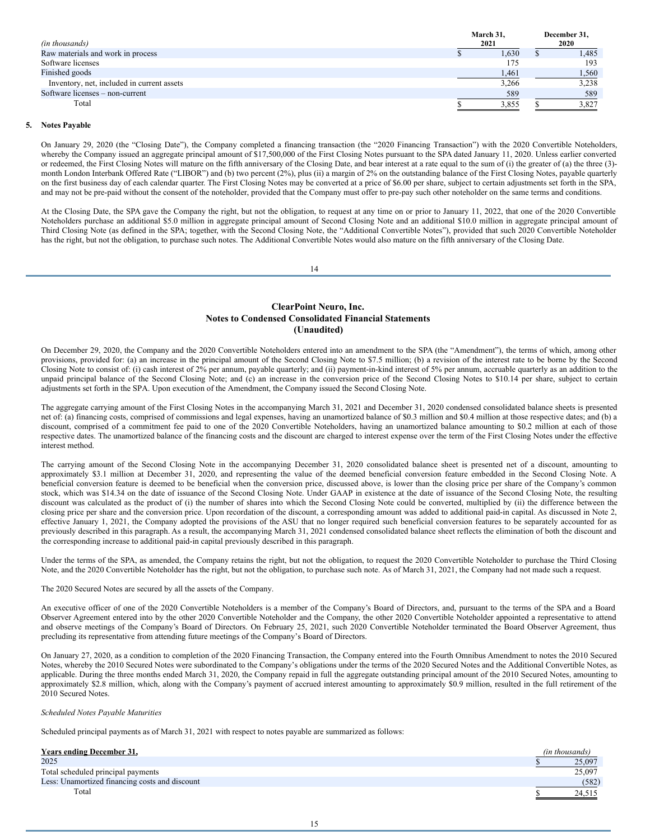|                                            |      | March 31, | December 31, |       |  |
|--------------------------------------------|------|-----------|--------------|-------|--|
| (in thousands)                             | 2021 |           | 2020         |       |  |
| Raw materials and work in process          |      | 1.630     |              | 1,485 |  |
| Software licenses                          |      | 175       |              | 193   |  |
| Finished goods                             |      | 1,461     |              | 1,560 |  |
| Inventory, net, included in current assets |      | 3,266     |              | 3,238 |  |
| Software licenses – non-current            |      | 589       |              | 589   |  |
| Total                                      |      | 3.855     |              | 3.827 |  |

### **5. Notes Payable**

On January 29, 2020 (the "Closing Date"), the Company completed a financing transaction (the "2020 Financing Transaction") with the 2020 Convertible Noteholders, whereby the Company issued an aggregate principal amount of \$17,500,000 of the First Closing Notes pursuant to the SPA dated January 11, 2020. Unless earlier converted or redeemed, the First Closing Notes will mature on the fifth anniversary of the Closing Date, and bear interest at a rate equal to the sum of (i) the greater of (a) the three (3) month London Interbank Offered Rate ("LIBOR") and (b) two percent (2%), plus (ii) a margin of 2% on the outstanding balance of the First Closing Notes, payable quarterly on the first business day of each calendar quarter. The First Closing Notes may be converted at a price of \$6.00 per share, subject to certain adjustments set forth in the SPA, and may not be pre-paid without the consent of the noteholder, provided that the Company must offer to pre-pay such other noteholder on the same terms and conditions.

At the Closing Date, the SPA gave the Company the right, but not the obligation, to request at any time on or prior to January 11, 2022, that one of the 2020 Convertible Noteholders purchase an additional \$5.0 million in aggregate principal amount of Second Closing Note and an additional \$10.0 million in aggregate principal amount of Third Closing Note (as defined in the SPA; together, with the Second Closing Note, the "Additional Convertible Notes"), provided that such 2020 Convertible Noteholder has the right, but not the obligation, to purchase such notes. The Additional Convertible Notes would also mature on the fifth anniversary of the Closing Date.

14

## **ClearPoint Neuro, Inc. Notes to Condensed Consolidated Financial Statements (Unaudited)**

On December 29, 2020, the Company and the 2020 Convertible Noteholders entered into an amendment to the SPA (the "Amendment"), the terms of which, among other provisions, provided for: (a) an increase in the principal amount of the Second Closing Note to \$7.5 million; (b) a revision of the interest rate to be borne by the Second Closing Note to consist of: (i) cash interest of 2% per annum, payable quarterly; and (ii) payment-in-kind interest of 5% per annum, accruable quarterly as an addition to the unpaid principal balance of the Second Closing Note; and (c) an increase in the conversion price of the Second Closing Notes to \$10.14 per share, subject to certain adjustments set forth in the SPA. Upon execution of the Amendment, the Company issued the Second Closing Note.

The aggregate carrying amount of the First Closing Notes in the accompanying March 31, 2021 and December 31, 2020 condensed consolidated balance sheets is presented net of: (a) financing costs, comprised of commissions and legal expenses, having an unamortized balance of \$0.3 million and \$0.4 million at those respective dates; and (b) a discount, comprised of a commitment fee paid to one of the 2020 Convertible Noteholders, having an unamortized balance amounting to \$0.2 million at each of those respective dates. The unamortized balance of the financing costs and the discount are charged to interest expense over the term of the First Closing Notes under the effective interest method.

The carrying amount of the Second Closing Note in the accompanying December 31, 2020 consolidated balance sheet is presented net of a discount, amounting to approximately \$3.1 million at December 31, 2020, and representing the value of the deemed beneficial conversion feature embedded in the Second Closing Note. A beneficial conversion feature is deemed to be beneficial when the conversion price, discussed above, is lower than the closing price per share of the Company's common stock, which was \$14.34 on the date of issuance of the Second Closing Note. Under GAAP in existence at the date of issuance of the Second Closing Note, the resulting discount was calculated as the product of (i) the number of shares into which the Second Closing Note could be converted, multiplied by (ii) the difference between the closing price per share and the conversion price. Upon recordation of the discount, a corresponding amount was added to additional paid-in capital. As discussed in Note 2, effective January 1, 2021, the Company adopted the provisions of the ASU that no longer required such beneficial conversion features to be separately accounted for as previously described in this paragraph. As a result, the accompanying March 31, 2021 condensed consolidated balance sheet reflects the elimination of both the discount and the corresponding increase to additional paid-in capital previously described in this paragraph.

Under the terms of the SPA, as amended, the Company retains the right, but not the obligation, to request the 2020 Convertible Noteholder to purchase the Third Closing Note, and the 2020 Convertible Noteholder has the right, but not the obligation, to purchase such note. As of March 31, 2021, the Company had not made such a request.

The 2020 Secured Notes are secured by all the assets of the Company.

An executive officer of one of the 2020 Convertible Noteholders is a member of the Company's Board of Directors, and, pursuant to the terms of the SPA and a Board Observer Agreement entered into by the other 2020 Convertible Noteholder and the Company, the other 2020 Convertible Noteholder appointed a representative to attend and observe meetings of the Company's Board of Directors. On February 25, 2021, such 2020 Convertible Noteholder terminated the Board Observer Agreement, thus precluding its representative from attending future meetings of the Company's Board of Directors.

On January 27, 2020, as a condition to completion of the 2020 Financing Transaction, the Company entered into the Fourth Omnibus Amendment to notes the 2010 Secured Notes, whereby the 2010 Secured Notes were subordinated to the Company's obligations under the terms of the 2020 Secured Notes and the Additional Convertible Notes, as applicable. During the three months ended March 31, 2020, the Company repaid in full the aggregate outstanding principal amount of the 2010 Secured Notes, amounting to approximately \$2.8 million, which, along with the Company's payment of accrued interest amounting to approximately \$0.9 million, resulted in the full retirement of the 2010 Secured Notes.

## *Scheduled Notes Payable Maturities*

Scheduled principal payments as of March 31, 2021 with respect to notes payable are summarized as follows:

| <b>Years ending December 31,</b>               | (in thousands) |
|------------------------------------------------|----------------|
| 2025                                           | 25.097         |
| Total scheduled principal payments             | 25,097         |
| Less: Unamortized financing costs and discount | (582)          |
| Total                                          | 24.515         |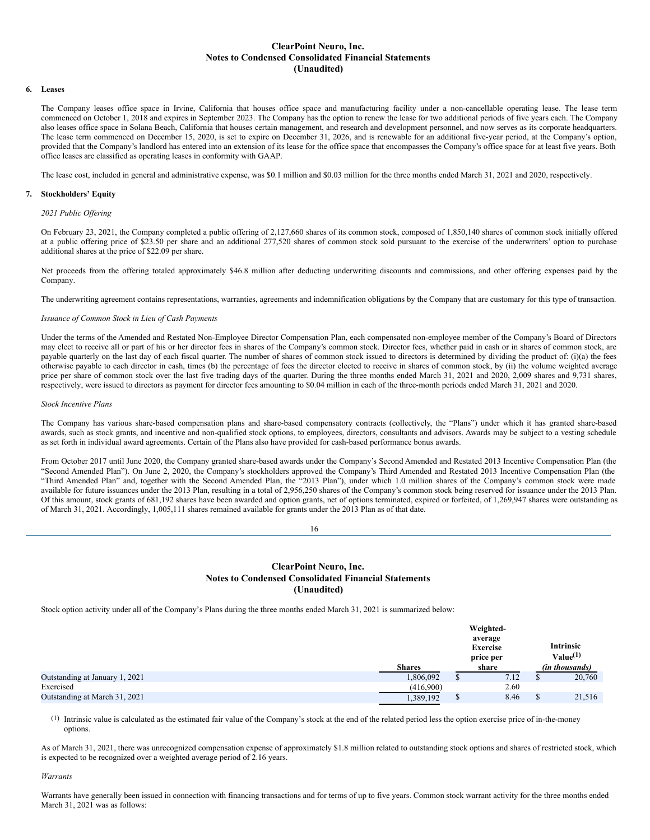## **ClearPoint Neuro, Inc. Notes to Condensed Consolidated Financial Statements (Unaudited)**

### **6. Leases**

The Company leases office space in Irvine, California that houses office space and manufacturing facility under a non-cancellable operating lease. The lease term commenced on October 1, 2018 and expires in September 2023. The Company has the option to renew the lease for two additional periods of five years each. The Company also leases office space in Solana Beach, California that houses certain management, and research and development personnel, and now serves as its corporate headquarters. The lease term commenced on December 15, 2020, is set to expire on December 31, 2026, and is renewable for an additional five-year period, at the Company's option, provided that the Company's landlord has entered into an extension of its lease for the office space that encompasses the Company's office space for at least five years. Both office leases are classified as operating leases in conformity with GAAP.

The lease cost, included in general and administrative expense, was \$0.1 million and \$0.03 million for the three months ended March 31, 2021 and 2020, respectively.

### **7. Stockholders' Equity**

## *2021 Public Of ering*

On February 23, 2021, the Company completed a public offering of 2,127,660 shares of its common stock, composed of 1,850,140 shares of common stock initially offered at a public offering price of \$23.50 per share and an additional 277,520 shares of common stock sold pursuant to the exercise of the underwriters' option to purchase additional shares at the price of \$22.09 per share.

Net proceeds from the offering totaled approximately \$46.8 million after deducting underwriting discounts and commissions, and other offering expenses paid by the Company.

The underwriting agreement contains representations, warranties, agreements and indemnification obligations by the Company that are customary for this type of transaction.

### *Issuance of Common Stock in Lieu of Cash Payments*

Under the terms of the Amended and Restated Non-Employee Director Compensation Plan, each compensated non-employee member of the Company's Board of Directors may elect to receive all or part of his or her director fees in shares of the Company's common stock. Director fees, whether paid in cash or in shares of common stock, are payable quarterly on the last day of each fiscal quarter. The number of shares of common stock issued to directors is determined by dividing the product of: (i)(a) the fees otherwise payable to each director in cash, times (b) the percentage of fees the director elected to receive in shares of common stock, by (ii) the volume weighted average price per share of common stock over the last five trading days of the quarter. During the three months ended March 31, 2021 and 2020, 2,009 shares and 9,731 shares, respectively, were issued to directors as payment for director fees amounting to \$0.04 million in each of the three-month periods ended March 31, 2021 and 2020.

#### *Stock Incentive Plans*

The Company has various share-based compensation plans and share-based compensatory contracts (collectively, the "Plans") under which it has granted share-based awards, such as stock grants, and incentive and non-qualified stock options, to employees, directors, consultants and advisors. Awards may be subject to a vesting schedule as set forth in individual award agreements. Certain of the Plans also have provided for cash-based performance bonus awards.

From October 2017 until June 2020, the Company granted share-based awards under the Company's Second Amended and Restated 2013 Incentive Compensation Plan (the "Second Amended Plan"). On June 2, 2020, the Company's stockholders approved the Company's Third Amended and Restated 2013 Incentive Compensation Plan (the "Third Amended Plan" and, together with the Second Amended Plan, the "2013 Plan"), under which 1.0 million shares of the Company's common stock were made available for future issuances under the 2013 Plan, resulting in a total of 2,956,250 shares of the Company's common stock being reserved for issuance under the 2013 Plan. Of this amount, stock grants of 681,192 shares have been awarded and option grants, net of options terminated, expired or forfeited, of 1,269,947 shares were outstanding as of March 31, 2021. Accordingly, 1,005,111 shares remained available for grants under the 2013 Plan as of that date.

| I<br>I<br>۰, |  |
|--------------|--|
|--------------|--|

## **ClearPoint Neuro, Inc. Notes to Condensed Consolidated Financial Statements (Unaudited)**

Stock option activity under all of the Company's Plans during the three months ended March 31, 2021 is summarized below:

|                                |               | Weighted-<br>average<br>Exercise<br>price per |       | <b>Intrinsic</b><br>$Value^{(1)}$ |                |
|--------------------------------|---------------|-----------------------------------------------|-------|-----------------------------------|----------------|
|                                | <b>Shares</b> |                                               | share |                                   | (in thousands) |
| Outstanding at January 1, 2021 | 1.806.092     |                                               | 7.12  |                                   | 20,760         |
| Exercised                      | (416,900)     |                                               | 2.60  |                                   |                |
| Outstanding at March 31, 2021  | 1,389,192     | ۰D                                            | 8.46  |                                   | 21,516         |

(1) Intrinsic value is calculated as the estimated fair value of the Company's stock at the end of the related period less the option exercise price of in-the-money options.

As of March 31, 2021, there was unrecognized compensation expense of approximately \$1.8 million related to outstanding stock options and shares of restricted stock, which is expected to be recognized over a weighted average period of 2.16 years.

### *Warrants*

Warrants have generally been issued in connection with financing transactions and for terms of up to five years. Common stock warrant activity for the three months ended March 31, 2021 was as follows: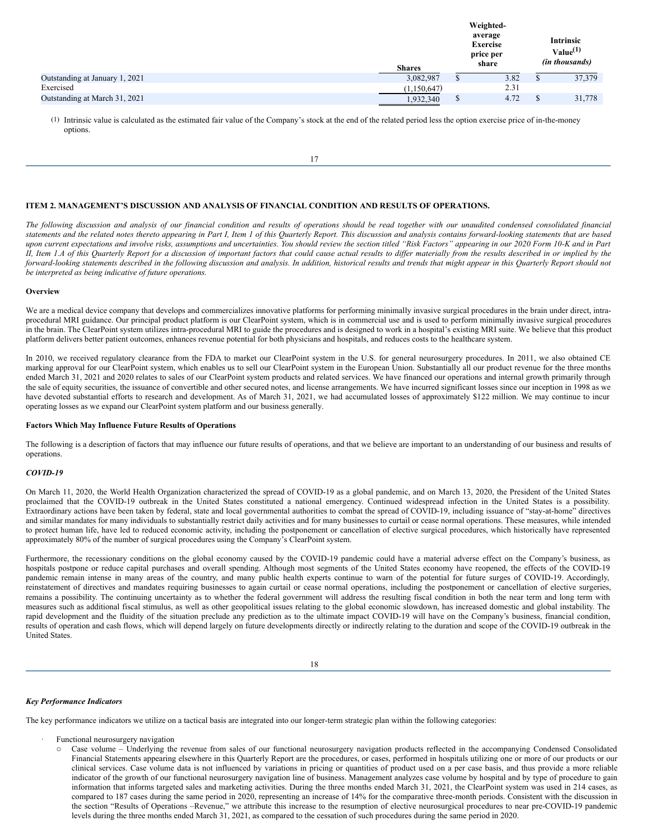|                                | <b>Shares</b> |   | Weighted-<br>average<br><b>Exercise</b><br>price per<br>share |   | Intrinsic<br>$Value^{(1)}$<br>(in thousands) |
|--------------------------------|---------------|---|---------------------------------------------------------------|---|----------------------------------------------|
| Outstanding at January 1, 2021 | 3,082,987     |   | 3.82                                                          | ъ | 37,379                                       |
| Exercised                      | (1,150,647)   |   | 2.31                                                          |   |                                              |
| Outstanding at March 31, 2021  | 1,932,340     | S | 4.72                                                          | S | 31,778                                       |

(1) Intrinsic value is calculated as the estimated fair value of the Company's stock at the end of the related period less the option exercise price of in-the-money options.

## <span id="page-10-0"></span>**ITEM 2. MANAGEMENT'S DISCUSSION AND ANALYSIS OF FINANCIAL CONDITION AND RESULTS OF OPERATIONS.**

The following discussion and analysis of our financial condition and results of operations should be read together with our unaudited condensed consolidated financial statements and the related notes thereto appearing in Part I, Item 1 of this Quarterly Report. This discussion and analysis contains forward-looking statements that are based upon current expectations and involve risks, assumptions and uncertainties. You should review the section titled "Risk Factors" appearing in our 2020 Form 10-K and in Part II, Item 1.A of this Quarterly Report for a discussion of important factors that could cause actual results to differ materially from the results described in or implied by the forward-looking statements described in the following discussion and analysis. In addition, historical results and trends that might appear in this Quarterly Report should not *be interpreted as being indicative of future operations.*

### **Overview**

We are a medical device company that develops and commercializes innovative platforms for performing minimally invasive surgical procedures in the brain under direct, intraprocedural MRI guidance. Our principal product platform is our ClearPoint system, which is in commercial use and is used to perform minimally invasive surgical procedures in the brain. The ClearPoint system utilizes intra-procedural MRI to guide the procedures and is designed to work in a hospital's existing MRI suite. We believe that this product platform delivers better patient outcomes, enhances revenue potential for both physicians and hospitals, and reduces costs to the healthcare system.

In 2010, we received regulatory clearance from the FDA to market our ClearPoint system in the U.S. for general neurosurgery procedures. In 2011, we also obtained CE marking approval for our ClearPoint system, which enables us to sell our ClearPoint system in the European Union. Substantially all our product revenue for the three months ended March 31, 2021 and 2020 relates to sales of our ClearPoint system products and related services. We have financed our operations and internal growth primarily through the sale of equity securities, the issuance of convertible and other secured notes, and license arrangements. We have incurred significant losses since our inception in 1998 as we have devoted substantial efforts to research and development. As of March 31, 2021, we had accumulated losses of approximately \$122 million. We may continue to incur operating losses as we expand our ClearPoint system platform and our business generally.

### **Factors Which May Influence Future Results of Operations**

The following is a description of factors that may influence our future results of operations, and that we believe are important to an understanding of our business and results of operations.

### *COVID-19*

On March 11, 2020, the World Health Organization characterized the spread of COVID-19 as a global pandemic, and on March 13, 2020, the President of the United States proclaimed that the COVID-19 outbreak in the United States constituted a national emergency. Continued widespread infection in the United States is a possibility. Extraordinary actions have been taken by federal, state and local governmental authorities to combat the spread of COVID-19, including issuance of "stay-at-home" directives and similar mandates for many individuals to substantially restrict daily activities and for many businesses to curtail or cease normal operations. These measures, while intended to protect human life, have led to reduced economic activity, including the postponement or cancellation of elective surgical procedures, which historically have represented approximately 80% of the number of surgical procedures using the Company's ClearPoint system.

Furthermore, the recessionary conditions on the global economy caused by the COVID-19 pandemic could have a material adverse effect on the Company's business, as hospitals postpone or reduce capital purchases and overall spending. Although most segments of the United States economy have reopened, the effects of the COVID-19 pandemic remain intense in many areas of the country, and many public health experts continue to warn of the potential for future surges of COVID-19. Accordingly, reinstatement of directives and mandates requiring businesses to again curtail or cease normal operations, including the postponement or cancellation of elective surgeries, remains a possibility. The continuing uncertainty as to whether the federal government will address the resulting fiscal condition in both the near term and long term with measures such as additional fiscal stimulus, as well as other geopolitical issues relating to the global economic slowdown, has increased domestic and global instability. The rapid development and the fluidity of the situation preclude any prediction as to the ultimate impact COVID-19 will have on the Company's business, financial condition, results of operation and cash flows, which will depend largely on future developments directly or indirectly relating to the duration and scope of the COVID-19 outbreak in the United States.

18

### *Key Performance Indicators*

The key performance indicators we utilize on a tactical basis are integrated into our longer-term strategic plan within the following categories:

- Functional neurosurgery navigation
	- Case volume Underlying the revenue from sales of our functional neurosurgery navigation products reflected in the accompanying Condensed Consolidated Financial Statements appearing elsewhere in this Quarterly Report are the procedures, or cases, performed in hospitals utilizing one or more of our products or our clinical services. Case volume data is not influenced by variations in pricing or quantities of product used on a per case basis, and thus provide a more reliable indicator of the growth of our functional neurosurgery navigation line of business. Management analyzes case volume by hospital and by type of procedure to gain information that informs targeted sales and marketing activities. During the three months ended March 31, 2021, the ClearPoint system was used in 214 cases, as compared to 187 cases during the same period in 2020, representing an increase of 14% for the comparative three-month periods. Consistent with the discussion in the section "Results of Operations –Revenue," we attribute this increase to the resumption of elective neurosurgical procedures to near pre-COVID-19 pandemic levels during the three months ended March 31, 2021, as compared to the cessation of such procedures during the same period in 2020.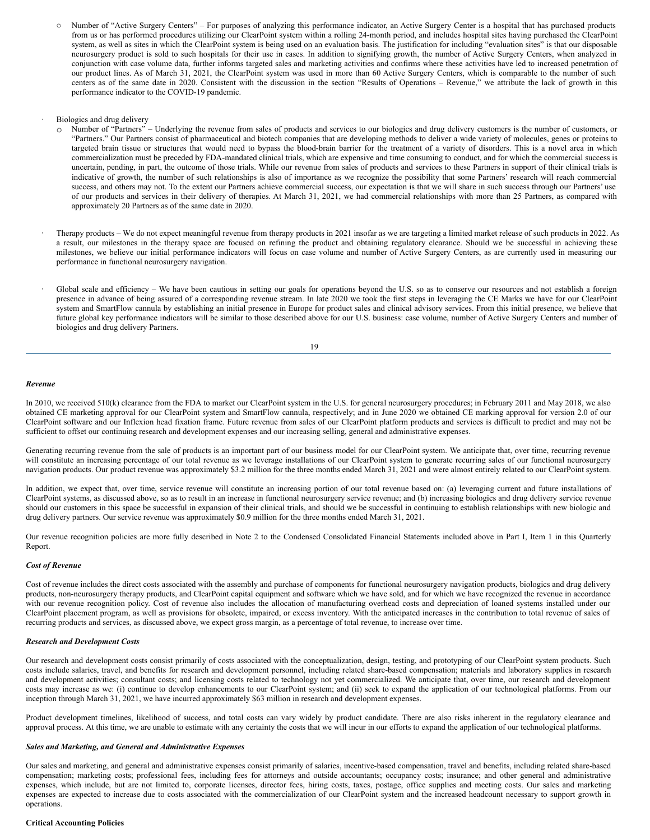- o Number of "Active Surgery Centers" For purposes of analyzing this performance indicator, an Active Surgery Center is a hospital that has purchased products from us or has performed procedures utilizing our ClearPoint system within a rolling 24-month period, and includes hospital sites having purchased the ClearPoint system, as well as sites in which the ClearPoint system is being used on an evaluation basis. The justification for including "evaluation sites" is that our disposable neurosurgery product is sold to such hospitals for their use in cases. In addition to signifying growth, the number of Active Surgery Centers, when analyzed in conjunction with case volume data, further informs targeted sales and marketing activities and confirms where these activities have led to increased penetration of our product lines. As of March 31, 2021, the ClearPoint system was used in more than 60 Active Surgery Centers, which is comparable to the number of such centers as of the same date in 2020. Consistent with the discussion in the section "Results of Operations – Revenue," we attribute the lack of growth in this performance indicator to the COVID-19 pandemic.
- Biologics and drug delivery
	- $\circ$  Number of "Partners" Underlying the revenue from sales of products and services to our biologics and drug delivery customers is the number of customers, or "Partners." Our Partners consist of pharmaceutical and biotech companies that are developing methods to deliver a wide variety of molecules, genes or proteins to targeted brain tissue or structures that would need to bypass the blood-brain barrier for the treatment of a variety of disorders. This is a novel area in which commercialization must be preceded by FDA-mandated clinical trials, which are expensive and time consuming to conduct, and for which the commercial success is uncertain, pending, in part, the outcome of those trials. While our revenue from sales of products and services to these Partners in support of their clinical trials is indicative of growth, the number of such relationships is also of importance as we recognize the possibility that some Partners' research will reach commercial success, and others may not. To the extent our Partners achieve commercial success, our expectation is that we will share in such success through our Partners' use of our products and services in their delivery of therapies. At March 31, 2021, we had commercial relationships with more than 25 Partners, as compared with approximately 20 Partners as of the same date in 2020.
- · Therapy products We do not expect meaningful revenue from therapy products in 2021 insofar as we are targeting a limited market release of such products in 2022. As a result, our milestones in the therapy space are focused on refining the product and obtaining regulatory clearance. Should we be successful in achieving these milestones, we believe our initial performance indicators will focus on case volume and number of Active Surgery Centers, as are currently used in measuring our performance in functional neurosurgery navigation.
- Global scale and efficiency We have been cautious in setting our goals for operations beyond the U.S. so as to conserve our resources and not establish a foreign presence in advance of being assured of a corresponding revenue stream. In late 2020 we took the first steps in leveraging the CE Marks we have for our ClearPoint system and SmartFlow cannula by establishing an initial presence in Europe for product sales and clinical advisory services. From this initial presence, we believe that future global key performance indicators will be similar to those described above for our U.S. business: case volume, number of Active Surgery Centers and number of biologics and drug delivery Partners.

19

## *Revenue*

In 2010, we received 510(k) clearance from the FDA to market our ClearPoint system in the U.S. for general neurosurgery procedures; in February 2011 and May 2018, we also obtained CE marketing approval for our ClearPoint system and SmartFlow cannula, respectively; and in June 2020 we obtained CE marking approval for version 2.0 of our ClearPoint software and our Inflexion head fixation frame. Future revenue from sales of our ClearPoint platform products and services is difficult to predict and may not be sufficient to offset our continuing research and development expenses and our increasing selling, general and administrative expenses.

Generating recurring revenue from the sale of products is an important part of our business model for our ClearPoint system. We anticipate that, over time, recurring revenue will constitute an increasing percentage of our total revenue as we leverage installations of our ClearPoint system to generate recurring sales of our functional neurosurgery navigation products. Our product revenue was approximately \$3.2 million for the three months ended March 31, 2021 and were almost entirely related to our ClearPoint system.

In addition, we expect that, over time, service revenue will constitute an increasing portion of our total revenue based on: (a) leveraging current and future installations of ClearPoint systems, as discussed above, so as to result in an increase in functional neurosurgery service revenue; and (b) increasing biologics and drug delivery service revenue should our customers in this space be successful in expansion of their clinical trials, and should we be successful in continuing to establish relationships with new biologic and drug delivery partners. Our service revenue was approximately \$0.9 million for the three months ended March 31, 2021.

Our revenue recognition policies are more fully described in Note 2 to the Condensed Consolidated Financial Statements included above in Part I, Item 1 in this Quarterly Report.

### *Cost of Revenue*

Cost of revenue includes the direct costs associated with the assembly and purchase of components for functional neurosurgery navigation products, biologics and drug delivery products, non-neurosurgery therapy products, and ClearPoint capital equipment and software which we have sold, and for which we have recognized the revenue in accordance with our revenue recognition policy. Cost of revenue also includes the allocation of manufacturing overhead costs and depreciation of loaned systems installed under our ClearPoint placement program, as well as provisions for obsolete, impaired, or excess inventory. With the anticipated increases in the contribution to total revenue of sales of recurring products and services, as discussed above, we expect gross margin, as a percentage of total revenue, to increase over time.

#### *Research and Development Costs*

Our research and development costs consist primarily of costs associated with the conceptualization, design, testing, and prototyping of our ClearPoint system products. Such costs include salaries, travel, and benefits for research and development personnel, including related share-based compensation; materials and laboratory supplies in research and development activities; consultant costs; and licensing costs related to technology not yet commercialized. We anticipate that, over time, our research and development costs may increase as we: (i) continue to develop enhancements to our ClearPoint system; and (ii) seek to expand the application of our technological platforms. From our inception through March 31, 2021, we have incurred approximately \$63 million in research and development expenses.

Product development timelines, likelihood of success, and total costs can vary widely by product candidate. There are also risks inherent in the regulatory clearance and approval process. At this time, we are unable to estimate with any certainty the costs that we will incur in our efforts to expand the application of our technological platforms.

### *Sales and Marketing, and General and Administrative Expenses*

Our sales and marketing, and general and administrative expenses consist primarily of salaries, incentive-based compensation, travel and benefits, including related share-based compensation; marketing costs; professional fees, including fees for attorneys and outside accountants; occupancy costs; insurance; and other general and administrative expenses, which include, but are not limited to, corporate licenses, director fees, hiring costs, taxes, postage, office supplies and meeting costs. Our sales and marketing expenses are expected to increase due to costs associated with the commercialization of our ClearPoint system and the increased headcount necessary to support growth in operations.

## **Critical Accounting Policies**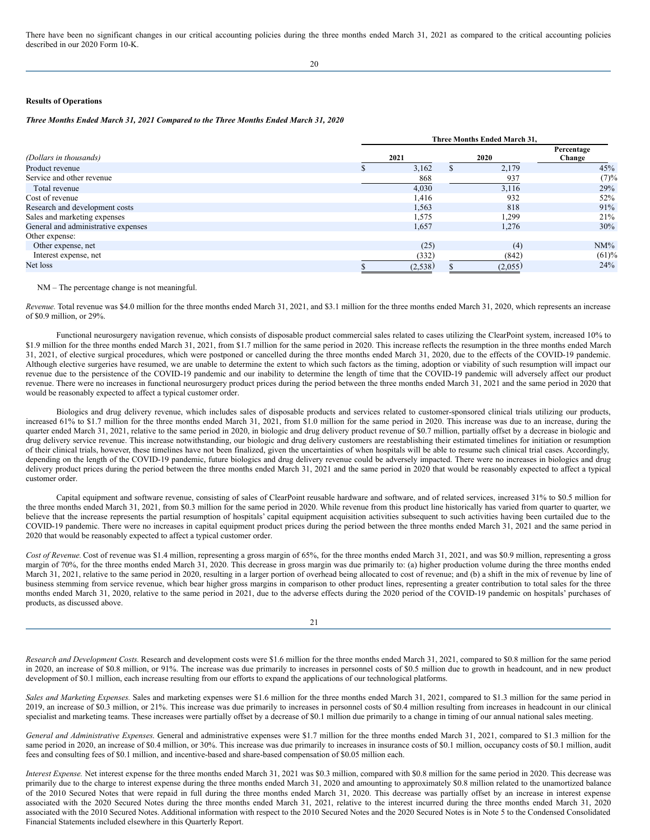There have been no significant changes in our critical accounting policies during the three months ended March 31, 2021 as compared to the critical accounting policies described in our 2020 Form 10-K.

20

## **Results of Operations**

## *Three Months Ended March 31, 2021 Compared to the Three Months Ended March 31, 2020*

|                                     | Three Months Ended March 31. |  |         |                      |  |
|-------------------------------------|------------------------------|--|---------|----------------------|--|
| (Dollars in thousands)              | 2021                         |  | 2020    | Percentage<br>Change |  |
| Product revenue                     | 3,162                        |  | 2,179   | 45%                  |  |
| Service and other revenue           | 868                          |  | 937     | (7)%                 |  |
| Total revenue                       | 4,030                        |  | 3,116   | 29%                  |  |
| Cost of revenue                     | 1,416                        |  | 932     | 52%                  |  |
| Research and development costs      | 1,563                        |  | 818     | 91%                  |  |
| Sales and marketing expenses        | 1,575                        |  | 1,299   | 21%                  |  |
| General and administrative expenses | 1,657                        |  | 1,276   | 30%                  |  |
| Other expense:                      |                              |  |         |                      |  |
| Other expense, net                  | (25)                         |  | (4)     | $NM\%$               |  |
| Interest expense, net               | (332)                        |  | (842)   | (61)%                |  |
| Net loss                            | (2, 538)                     |  | (2,055) | 24%                  |  |

### NM – The percentage change is not meaningful.

*Revenue.* Total revenue was \$4.0 million for the three months ended March 31, 2021, and \$3.1 million for the three months ended March 31, 2020, which represents an increase of \$0.9 million, or 29%.

Functional neurosurgery navigation revenue, which consists of disposable product commercial sales related to cases utilizing the ClearPoint system, increased 10% to \$1.9 million for the three months ended March 31, 2021, from \$1.7 million for the same period in 2020. This increase reflects the resumption in the three months ended March 31, 2021, of elective surgical procedures, which were postponed or cancelled during the three months ended March 31, 2020, due to the effects of the COVID-19 pandemic. Although elective surgeries have resumed, we are unable to determine the extent to which such factors as the timing, adoption or viability of such resumption will impact our revenue due to the persistence of the COVID-19 pandemic and our inability to determine the length of time that the COVID-19 pandemic will adversely affect our product revenue. There were no increases in functional neurosurgery product prices during the period between the three months ended March 31, 2021 and the same period in 2020 that would be reasonably expected to affect a typical customer order.

Biologics and drug delivery revenue, which includes sales of disposable products and services related to customer-sponsored clinical trials utilizing our products, increased 61% to \$1.7 million for the three months ended March 31, 2021, from \$1.0 million for the same period in 2020. This increase was due to an increase, during the quarter ended March 31, 2021, relative to the same period in 2020, in biologic and drug delivery product revenue of \$0.7 million, partially offset by a decrease in biologic and drug delivery service revenue. This increase notwithstanding, our biologic and drug delivery customers are reestablishing their estimated timelines for initiation or resumption of their clinical trials, however, these timelines have not been finalized, given the uncertainties of when hospitals will be able to resume such clinical trial cases. Accordingly, depending on the length of the COVID-19 pandemic, future biologics and drug delivery revenue could be adversely impacted. There were no increases in biologics and drug delivery product prices during the period between the three months ended March 31, 2021 and the same period in 2020 that would be reasonably expected to affect a typical customer order.

Capital equipment and software revenue, consisting of sales of ClearPoint reusable hardware and software, and of related services, increased 31% to \$0.5 million for the three months ended March 31, 2021, from \$0.3 million for the same period in 2020. While revenue from this product line historically has varied from quarter to quarter, we believe that the increase represents the partial resumption of hospitals' capital equipment acquisition activities subsequent to such activities having been curtailed due to the COVID-19 pandemic. There were no increases in capital equipment product prices during the period between the three months ended March 31, 2021 and the same period in 2020 that would be reasonably expected to affect a typical customer order.

*Cost of Revenue.* Cost of revenue was \$1.4 million, representing a gross margin of 65%, for the three months ended March 31, 2021, and was \$0.9 million, representing a gross margin of 70%, for the three months ended March 31, 2020. This decrease in gross margin was due primarily to: (a) higher production volume during the three months ended March 31, 2021, relative to the same period in 2020, resulting in a larger portion of overhead being allocated to cost of revenue; and (b) a shift in the mix of revenue by line of business stemming from service revenue, which bear higher gross margins in comparison to other product lines, representing a greater contribution to total sales for the three months ended March 31, 2020, relative to the same period in 2021, due to the adverse effects during the 2020 period of the COVID-19 pandemic on hospitals' purchases of products, as discussed above.

21

*Research and Development Costs.* Research and development costs were \$1.6 million for the three months ended March 31, 2021, compared to \$0.8 million for the same period in 2020, an increase of \$0.8 million, or 91%. The increase was due primarily to increases in personnel costs of \$0.5 million due to growth in headcount, and in new product development of \$0.1 million, each increase resulting from our efforts to expand the applications of our technological platforms.

*Sales and Marketing Expenses.* Sales and marketing expenses were \$1.6 million for the three months ended March 31, 2021, compared to \$1.3 million for the same period in 2019, an increase of \$0.3 million, or 21%. This increase was due primarily to increases in personnel costs of \$0.4 million resulting from increases in headcount in our clinical specialist and marketing teams. These increases were partially offset by a decrease of \$0.1 million due primarily to a change in timing of our annual national sales meeting.

*General and Administrative Expenses*. General and administrative expenses were \$1.7 million for the three months ended March 31, 2021, compared to \$1.3 million for the same period in 2020, an increase of \$0.4 million, or 30%. This increase was due primarily to increases in insurance costs of \$0.1 million, occupancy costs of \$0.1 million, audit fees and consulting fees of \$0.1 million, and incentive-based and share-based compensation of \$0.05 million each.

*Interest Expense.* Net interest expense for the three months ended March 31, 2021 was \$0.3 million, compared with \$0.8 million for the same period in 2020. This decrease was primarily due to the charge to interest expense during the three months ended March 31, 2020 and amounting to approximately \$0.8 million related to the unamortized balance of the 2010 Secured Notes that were repaid in full during the three months ended March 31, 2020. This decrease was partially offset by an increase in interest expense associated with the 2020 Secured Notes during the three months ended March 31, 2021, relative to the interest incurred during the three months ended March 31, 2020 associated with the 2010 Secured Notes. Additional information with respect to the 2010 Secured Notes and the 2020 Secured Notes is in Note 5 to the Condensed Consolidated Financial Statements included elsewhere in this Quarterly Report.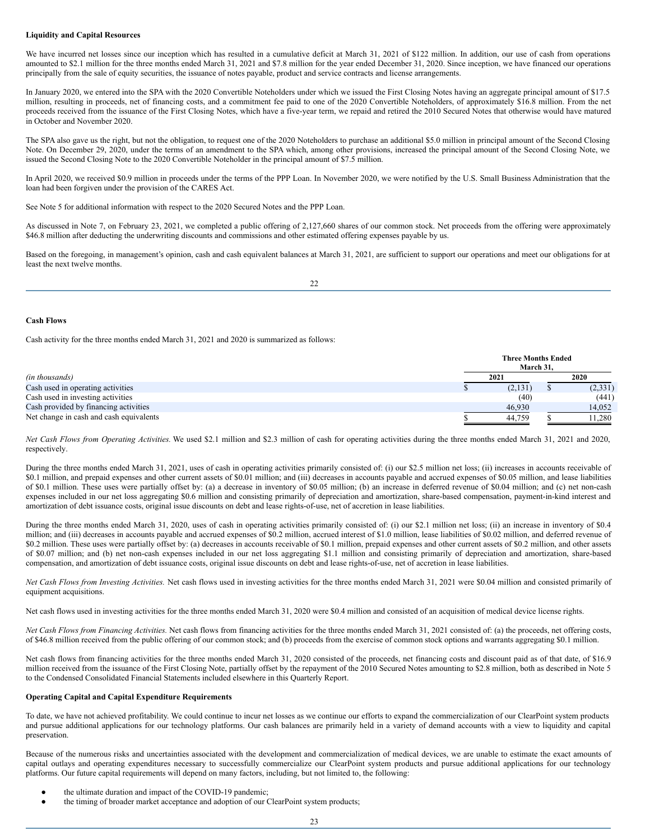## **Liquidity and Capital Resources**

We have incurred net losses since our inception which has resulted in a cumulative deficit at March 31, 2021 of \$122 million. In addition, our use of cash from operations amounted to \$2.1 million for the three months ended March 31, 2021 and \$7.8 million for the year ended December 31, 2020. Since inception, we have financed our operations principally from the sale of equity securities, the issuance of notes payable, product and service contracts and license arrangements.

In January 2020, we entered into the SPA with the 2020 Convertible Noteholders under which we issued the First Closing Notes having an aggregate principal amount of \$17.5 million, resulting in proceeds, net of financing costs, and a commitment fee paid to one of the 2020 Convertible Noteholders, of approximately \$16.8 million. From the net proceeds received from the issuance of the First Closing Notes, which have a five-year term, we repaid and retired the 2010 Secured Notes that otherwise would have matured in October and November 2020.

The SPA also gave us the right, but not the obligation, to request one of the 2020 Noteholders to purchase an additional \$5.0 million in principal amount of the Second Closing Note. On December 29, 2020, under the terms of an amendment to the SPA which, among other provisions, increased the principal amount of the Second Closing Note, we issued the Second Closing Note to the 2020 Convertible Noteholder in the principal amount of \$7.5 million.

In April 2020, we received \$0.9 million in proceeds under the terms of the PPP Loan. In November 2020, we were notified by the U.S. Small Business Administration that the loan had been forgiven under the provision of the CARES Act.

See Note 5 for additional information with respect to the 2020 Secured Notes and the PPP Loan.

As discussed in Note 7, on February 23, 2021, we completed a public offering of 2,127,660 shares of our common stock. Net proceeds from the offering were approximately \$46.8 million after deducting the underwriting discounts and commissions and other estimated offering expenses payable by us.

Based on the foregoing, in management's opinion, cash and cash equivalent balances at March 31, 2021, are sufficient to support our operations and meet our obligations for at least the next twelve months.

 $22$ 

## **Cash Flows**

Cash activity for the three months ended March 31, 2021 and 2020 is summarized as follows:

|                                         | <b>Three Months Ended</b><br>March 31. |  |         |  |  |
|-----------------------------------------|----------------------------------------|--|---------|--|--|
| (in thousands)                          | 2021                                   |  | 2020    |  |  |
| Cash used in operating activities       | (2, 131)                               |  | (2,331) |  |  |
| Cash used in investing activities       | (40)                                   |  | (441)   |  |  |
| Cash provided by financing activities   | 46,930                                 |  | 14.052  |  |  |
| Net change in cash and cash equivalents | 44.759                                 |  | 1.280   |  |  |

*Net Cash Flows from Operating Activities.* We used \$2.1 million and \$2.3 million of cash for operating activities during the three months ended March 31, 2021 and 2020, respectively.

During the three months ended March 31, 2021, uses of cash in operating activities primarily consisted of: (i) our \$2.5 million net loss; (ii) increases in accounts receivable of \$0.1 million, and prepaid expenses and other current assets of \$0.01 million; and (iii) decreases in accounts payable and accrued expenses of \$0.05 million, and lease liabilities of \$0.1 million. These uses were partially offset by: (a) a decrease in inventory of \$0.05 million; (b) an increase in deferred revenue of \$0.04 million; and (c) net non-cash expenses included in our net loss aggregating \$0.6 million and consisting primarily of depreciation and amortization, share-based compensation, payment-in-kind interest and amortization of debt issuance costs, original issue discounts on debt and lease rights-of-use, net of accretion in lease liabilities.

During the three months ended March 31, 2020, uses of cash in operating activities primarily consisted of: (i) our \$2.1 million net loss; (ii) an increase in inventory of \$0.4 million; and (iii) decreases in accounts payable and accrued expenses of \$0.2 million, accrued interest of \$1.0 million, lease liabilities of \$0.02 million, and deferred revenue of \$0.2 million. These uses were partially offset by: (a) decreases in accounts receivable of \$0.1 million, prepaid expenses and other current assets of \$0.2 million, and other assets of \$0.07 million; and (b) net non-cash expenses included in our net loss aggregating \$1.1 million and consisting primarily of depreciation and amortization, share-based compensation, and amortization of debt issuance costs, original issue discounts on debt and lease rights-of-use, net of accretion in lease liabilities.

*Net Cash Flows from Investing Activities.* Net cash flows used in investing activities for the three months ended March 31, 2021 were \$0.04 million and consisted primarily of equipment acquisitions.

Net cash flows used in investing activities for the three months ended March 31, 2020 were \$0.4 million and consisted of an acquisition of medical device license rights.

*Net Cash Flows from Financing Activities.* Net cash flows from financing activities for the three months ended March 31, 2021 consisted of: (a) the proceeds, net offering costs, of \$46.8 million received from the public offering of our common stock; and (b) proceeds from the exercise of common stock options and warrants aggregating \$0.1 million.

Net cash flows from financing activities for the three months ended March 31, 2020 consisted of the proceeds, net financing costs and discount paid as of that date, of \$16.9 million received from the issuance of the First Closing Note, partially offset by the repayment of the 2010 Secured Notes amounting to \$2.8 million, both as described in Note 5 to the Condensed Consolidated Financial Statements included elsewhere in this Quarterly Report.

## **Operating Capital and Capital Expenditure Requirements**

To date, we have not achieved profitability. We could continue to incur net losses as we continue our efforts to expand the commercialization of our ClearPoint system products and pursue additional applications for our technology platforms. Our cash balances are primarily held in a variety of demand accounts with a view to liquidity and capital preservation.

Because of the numerous risks and uncertainties associated with the development and commercialization of medical devices, we are unable to estimate the exact amounts of capital outlays and operating expenditures necessary to successfully commercialize our ClearPoint system products and pursue additional applications for our technology platforms. Our future capital requirements will depend on many factors, including, but not limited to, the following:

- the ultimate duration and impact of the COVID-19 pandemic;
- the timing of broader market acceptance and adoption of our ClearPoint system products;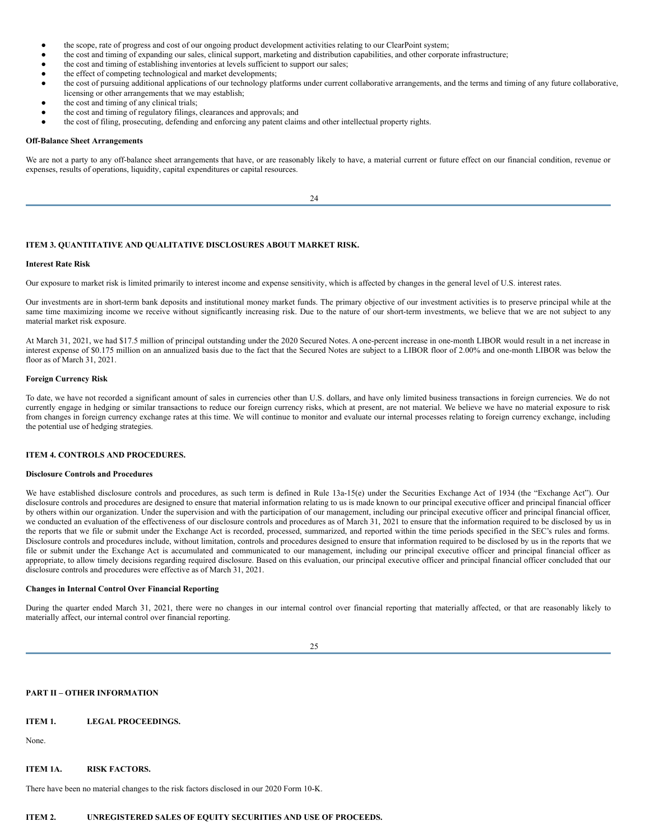- the scope, rate of progress and cost of our ongoing product development activities relating to our ClearPoint system;
- the cost and timing of expanding our sales, clinical support, marketing and distribution capabilities, and other corporate infrastructure;
- the cost and timing of establishing inventories at levels sufficient to support our sales;
- the effect of competing technological and market developments;
- the cost of pursuing additional applications of our technology platforms under current collaborative arrangements, and the terms and timing of any future collaborative, licensing or other arrangements that we may establish;
- the cost and timing of any clinical trials;
- the cost and timing of regulatory filings, clearances and approvals; and
- the cost of filing, prosecuting, defending and enforcing any patent claims and other intellectual property rights.

## **Off-Balance Sheet Arrangements**

We are not a party to any off-balance sheet arrangements that have, or are reasonably likely to have, a material current or future effect on our financial condition, revenue or expenses, results of operations, liquidity, capital expenditures or capital resources.

24

## <span id="page-14-0"></span>**ITEM 3. QUANTITATIVE AND QUALITATIVE DISCLOSURES ABOUT MARKET RISK.**

#### **Interest Rate Risk**

Our exposure to market risk is limited primarily to interest income and expense sensitivity, which is affected by changes in the general level of U.S. interest rates.

Our investments are in short-term bank deposits and institutional money market funds. The primary objective of our investment activities is to preserve principal while at the same time maximizing income we receive without significantly increasing risk. Due to the nature of our short-term investments, we believe that we are not subject to any material market risk exposure.

At March 31, 2021, we had \$17.5 million of principal outstanding under the 2020 Secured Notes. A one-percent increase in one-month LIBOR would result in a net increase in interest expense of \$0.175 million on an annualized basis due to the fact that the Secured Notes are subject to a LIBOR floor of 2.00% and one-month LIBOR was below the floor as of March 31, 2021.

### **Foreign Currency Risk**

To date, we have not recorded a significant amount of sales in currencies other than U.S. dollars, and have only limited business transactions in foreign currencies. We do not currently engage in hedging or similar transactions to reduce our foreign currency risks, which at present, are not material. We believe we have no material exposure to risk from changes in foreign currency exchange rates at this time. We will continue to monitor and evaluate our internal processes relating to foreign currency exchange, including the potential use of hedging strategies.

### <span id="page-14-1"></span>**ITEM 4. CONTROLS AND PROCEDURES.**

#### **Disclosure Controls and Procedures**

We have established disclosure controls and procedures, as such term is defined in Rule 13a-15(e) under the Securities Exchange Act of 1934 (the "Exchange Act"). Our disclosure controls and procedures are designed to ensure that material information relating to us is made known to our principal executive officer and principal financial officer by others within our organization. Under the supervision and with the participation of our management, including our principal executive officer and principal financial officer, we conducted an evaluation of the effectiveness of our disclosure controls and procedures as of March 31, 2021 to ensure that the information required to be disclosed by us in the reports that we file or submit under the Exchange Act is recorded, processed, summarized, and reported within the time periods specified in the SEC's rules and forms. Disclosure controls and procedures include, without limitation, controls and procedures designed to ensure that information required to be disclosed by us in the reports that we file or submit under the Exchange Act is accumulated and communicated to our management, including our principal executive officer and principal financial officer as appropriate, to allow timely decisions regarding required disclosure. Based on this evaluation, our principal executive officer and principal financial officer concluded that our disclosure controls and procedures were effective as of March 31, 2021.

### **Changes in Internal Control Over Financial Reporting**

During the quarter ended March 31, 2021, there were no changes in our internal control over financial reporting that materially affected, or that are reasonably likely to materially affect, our internal control over financial reporting.

25

## <span id="page-14-2"></span>**PART II – OTHER INFORMATION**

### <span id="page-14-3"></span>**ITEM 1. LEGAL PROCEEDINGS.**

None.

## <span id="page-14-4"></span>**ITEM 1A. RISK FACTORS.**

<span id="page-14-5"></span>There have been no material changes to the risk factors disclosed in our 2020 Form 10-K.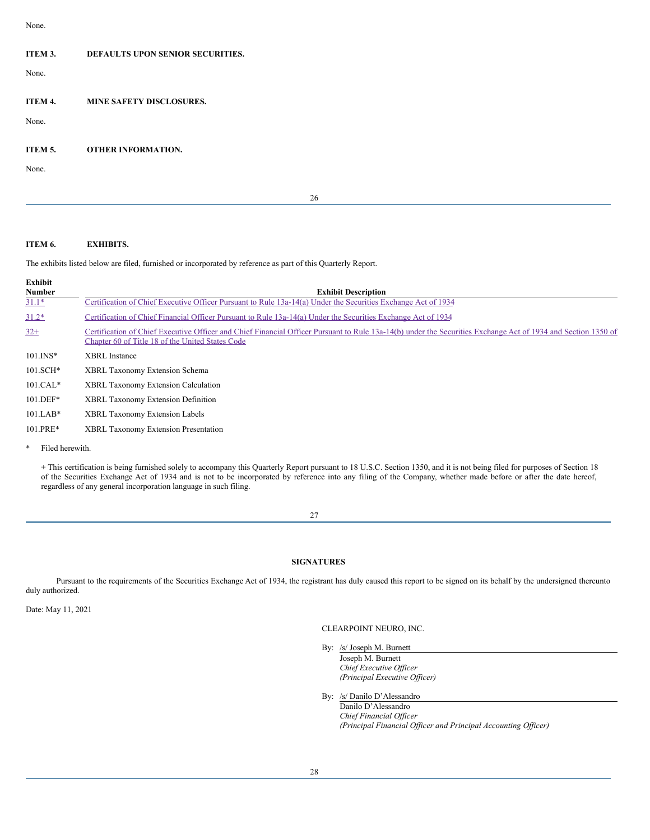None.

<span id="page-15-2"></span><span id="page-15-1"></span><span id="page-15-0"></span>

| ITEM 3.<br>None. | DEFAULTS UPON SENIOR SECURITIES. |
|------------------|----------------------------------|
| ITEM 4.<br>None. | <b>MINE SAFETY DISCLOSURES.</b>  |
| ITEM 5.          | OTHER INFORMATION.               |
| None.            | 26                               |

## <span id="page-15-3"></span>**ITEM 6. EXHIBITS.**

The exhibits listed below are filed, furnished or incorporated by reference as part of this Quarterly Report.

| Exhibit              |                                                                                                                                                                                                                   |
|----------------------|-------------------------------------------------------------------------------------------------------------------------------------------------------------------------------------------------------------------|
| <b>Number</b>        | <b>Exhibit Description</b>                                                                                                                                                                                        |
| $31.1*$              | Certification of Chief Executive Officer Pursuant to Rule 13a-14(a) Under the Securities Exchange Act of 1934                                                                                                     |
| $31.2*$              | Certification of Chief Financial Officer Pursuant to Rule 13a-14(a) Under the Securities Exchange Act of 1934                                                                                                     |
| $32+$                | Certification of Chief Executive Officer and Chief Financial Officer Pursuant to Rule 13a-14(b) under the Securities Exchange Act of 1934 and Section 1350 of<br>Chapter 60 of Title 18 of the United States Code |
| $101.$ INS*          | <b>XBRL</b> Instance                                                                                                                                                                                              |
| $101.SCH*$           | <b>XBRL Taxonomy Extension Schema</b>                                                                                                                                                                             |
| $101.CAL*$           | XBRL Taxonomy Extension Calculation                                                                                                                                                                               |
| $101.DEF*$           | <b>XBRL Taxonomy Extension Definition</b>                                                                                                                                                                         |
| $101.LAB*$           | <b>XBRL Taxonomy Extension Labels</b>                                                                                                                                                                             |
| 101.PRE*             | <b>XBRL Taxonomy Extension Presentation</b>                                                                                                                                                                       |
| *<br>Filed herewith. |                                                                                                                                                                                                                   |

+ This certification is being furnished solely to accompany this Quarterly Report pursuant to 18 U.S.C. Section 1350, and it is not being filed for purposes of Section 18 of the Securities Exchange Act of 1934 and is not to be incorporated by reference into any filing of the Company, whether made before or after the date hereof, regardless of any general incorporation language in such filing.

27

## **SIGNATURES**

<span id="page-15-4"></span>Pursuant to the requirements of the Securities Exchange Act of 1934, the registrant has duly caused this report to be signed on its behalf by the undersigned thereunto duly authorized.

Date: May 11, 2021

CLEARPOINT NEURO, INC.

By: /s/ Joseph M. Burnett

Joseph M. Burnett *Chief Executive Of icer (Principal Executive Of icer)*

By: /s/ Danilo D'Alessandro Danilo D'Alessandro *Chief Financial Of icer (Principal Financial Of icer and Principal Accounting Of icer)*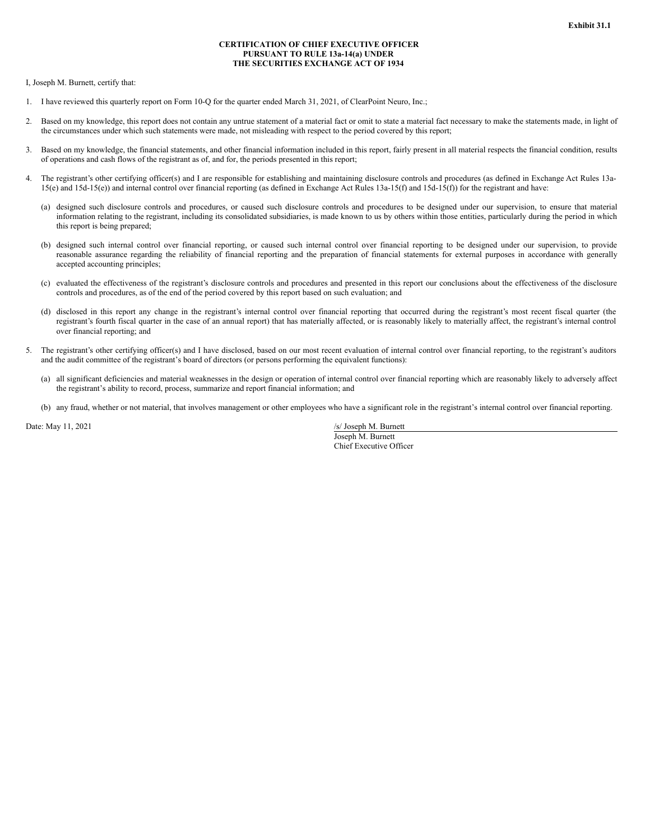### **CERTIFICATION OF CHIEF EXECUTIVE OFFICER PURSUANT TO RULE 13a-14(a) UNDER THE SECURITIES EXCHANGE ACT OF 1934**

<span id="page-16-0"></span>I, Joseph M. Burnett, certify that:

- 1. I have reviewed this quarterly report on Form 10-Q for the quarter ended March 31, 2021, of ClearPoint Neuro, Inc.;
- 2. Based on my knowledge, this report does not contain any untrue statement of a material fact or omit to state a material fact necessary to make the statements made, in light of the circumstances under which such statements were made, not misleading with respect to the period covered by this report;
- 3. Based on my knowledge, the financial statements, and other financial information included in this report, fairly present in all material respects the financial condition, results of operations and cash flows of the registrant as of, and for, the periods presented in this report;
- 4. The registrant's other certifying officer(s) and I are responsible for establishing and maintaining disclosure controls and procedures (as defined in Exchange Act Rules 13a-15(e) and 15d-15(e)) and internal control over financial reporting (as defined in Exchange Act Rules 13a-15(f) and 15d-15(f)) for the registrant and have:
	- (a) designed such disclosure controls and procedures, or caused such disclosure controls and procedures to be designed under our supervision, to ensure that material information relating to the registrant, including its consolidated subsidiaries, is made known to us by others within those entities, particularly during the period in which this report is being prepared;
	- (b) designed such internal control over financial reporting, or caused such internal control over financial reporting to be designed under our supervision, to provide reasonable assurance regarding the reliability of financial reporting and the preparation of financial statements for external purposes in accordance with generally accepted accounting principles;
	- (c) evaluated the effectiveness of the registrant's disclosure controls and procedures and presented in this report our conclusions about the effectiveness of the disclosure controls and procedures, as of the end of the period covered by this report based on such evaluation; and
	- (d) disclosed in this report any change in the registrant's internal control over financial reporting that occurred during the registrant's most recent fiscal quarter (the registrant's fourth fiscal quarter in the case of an annual report) that has materially affected, or is reasonably likely to materially affect, the registrant's internal control over financial reporting; and
- 5. The registrant's other certifying officer(s) and I have disclosed, based on our most recent evaluation of internal control over financial reporting, to the registrant's auditors and the audit committee of the registrant's board of directors (or persons performing the equivalent functions):
	- (a) all significant deficiencies and material weaknesses in the design or operation of internal control over financial reporting which are reasonably likely to adversely affect the registrant's ability to record, process, summarize and report financial information; and
	- (b) any fraud, whether or not material, that involves management or other employees who have a significant role in the registrant's internal control over financial reporting.

Date: May 11, 2021 /s/ Joseph M. Burnett Joseph M. Burnett Chief Executive Officer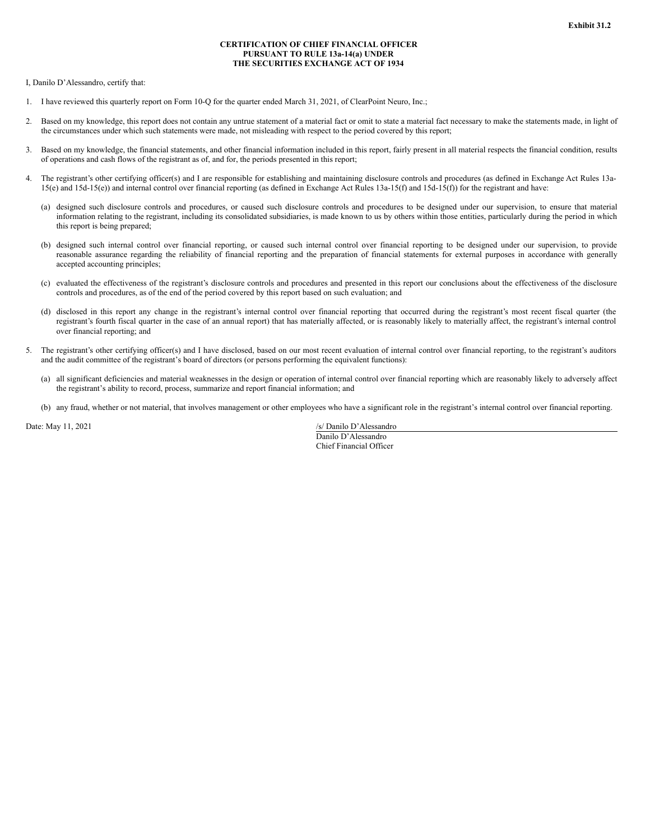### **CERTIFICATION OF CHIEF FINANCIAL OFFICER PURSUANT TO RULE 13a-14(a) UNDER THE SECURITIES EXCHANGE ACT OF 1934**

<span id="page-17-0"></span>I, Danilo D'Alessandro, certify that:

- 1. I have reviewed this quarterly report on Form 10-Q for the quarter ended March 31, 2021, of ClearPoint Neuro, Inc.;
- 2. Based on my knowledge, this report does not contain any untrue statement of a material fact or omit to state a material fact necessary to make the statements made, in light of the circumstances under which such statements were made, not misleading with respect to the period covered by this report;
- 3. Based on my knowledge, the financial statements, and other financial information included in this report, fairly present in all material respects the financial condition, results of operations and cash flows of the registrant as of, and for, the periods presented in this report;
- 4. The registrant's other certifying officer(s) and I are responsible for establishing and maintaining disclosure controls and procedures (as defined in Exchange Act Rules 13a-15(e) and 15d-15(e)) and internal control over financial reporting (as defined in Exchange Act Rules 13a-15(f) and 15d-15(f)) for the registrant and have:
	- (a) designed such disclosure controls and procedures, or caused such disclosure controls and procedures to be designed under our supervision, to ensure that material information relating to the registrant, including its consolidated subsidiaries, is made known to us by others within those entities, particularly during the period in which this report is being prepared;
	- (b) designed such internal control over financial reporting, or caused such internal control over financial reporting to be designed under our supervision, to provide reasonable assurance regarding the reliability of financial reporting and the preparation of financial statements for external purposes in accordance with generally accepted accounting principles;
	- (c) evaluated the effectiveness of the registrant's disclosure controls and procedures and presented in this report our conclusions about the effectiveness of the disclosure controls and procedures, as of the end of the period covered by this report based on such evaluation; and
	- (d) disclosed in this report any change in the registrant's internal control over financial reporting that occurred during the registrant's most recent fiscal quarter (the registrant's fourth fiscal quarter in the case of an annual report) that has materially affected, or is reasonably likely to materially affect, the registrant's internal control over financial reporting; and
- 5. The registrant's other certifying officer(s) and I have disclosed, based on our most recent evaluation of internal control over financial reporting, to the registrant's auditors and the audit committee of the registrant's board of directors (or persons performing the equivalent functions):
	- (a) all significant deficiencies and material weaknesses in the design or operation of internal control over financial reporting which are reasonably likely to adversely affect the registrant's ability to record, process, summarize and report financial information; and
	- (b) any fraud, whether or not material, that involves management or other employees who have a significant role in the registrant's internal control over financial reporting.

Date: May 11, 2021 /s/ Danilo D'Alessandro Danilo D'Alessandro Chief Financial Officer